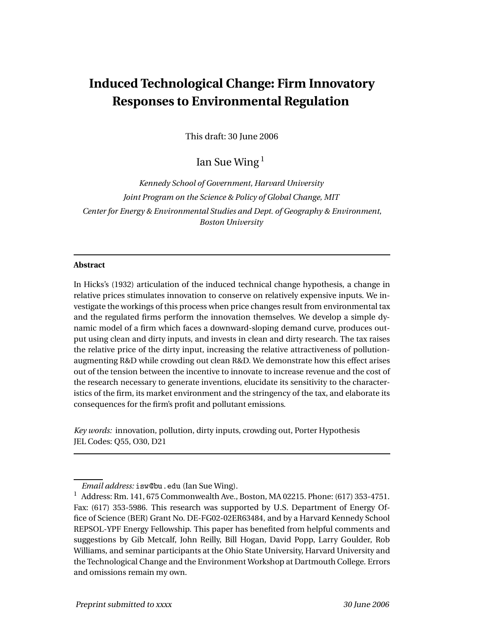# **Induced Technological Change: Firm Innovatory Responses to Environmental Regulation**

This draft: 30 June 2006

Ian Sue Wing $<sup>1</sup>$ </sup>

*Kennedy School of Government, Harvard University Joint Program on the Science & Policy of Global Change, MIT Center for Energy & Environmental Studies and Dept. of Geography & Environment, Boston University*

#### **Abstract**

In Hicks's (1932) articulation of the induced technical change hypothesis, a change in relative prices stimulates innovation to conserve on relatively expensive inputs. We investigate the workings of this process when price changes result from environmental tax and the regulated firms perform the innovation themselves. We develop a simple dynamic model of a firm which faces a downward-sloping demand curve, produces output using clean and dirty inputs, and invests in clean and dirty research. The tax raises the relative price of the dirty input, increasing the relative attractiveness of pollutionaugmenting R&D while crowding out clean R&D. We demonstrate how this effect arises out of the tension between the incentive to innovate to increase revenue and the cost of the research necessary to generate inventions, elucidate its sensitivity to the characteristics of the firm, its market environment and the stringency of the tax, and elaborate its consequences for the firm's profit and pollutant emissions.

*Key words:* innovation, pollution, dirty inputs, crowding out, Porter Hypothesis JEL Codes: Q55, O30, D21

*Email address:* isw@bu.edu (Ian Sue Wing).

<sup>1</sup> Address: Rm. 141, 675 Commonwealth Ave., Boston, MA 02215. Phone: (617) 353-4751. Fax: (617) 353-5986. This research was supported by U.S. Department of Energy Office of Science (BER) Grant No. DE-FG02-02ER63484, and by a Harvard Kennedy School REPSOL-YPF Energy Fellowship. This paper has benefited from helpful comments and suggestions by Gib Metcalf, John Reilly, Bill Hogan, David Popp, Larry Goulder, Rob Williams, and seminar participants at the Ohio State University, Harvard University and the Technological Change and the Environment Workshop at Dartmouth College. Errors and omissions remain my own.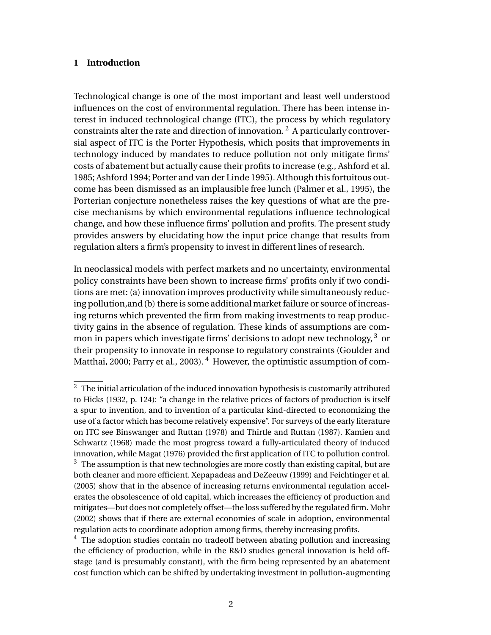## **1 Introduction**

Technological change is one of the most important and least well understood influences on the cost of environmental regulation. There has been intense interest in induced technological change (ITC), the process by which regulatory constraints alter the rate and direction of innovation.<sup>2</sup> A particularly controversial aspect of ITC is the Porter Hypothesis, which posits that improvements in technology induced by mandates to reduce pollution not only mitigate firms' costs of abatement but actually cause their profits to increase (e.g., Ashford et al. 1985; Ashford 1994; Porter and van der Linde 1995). Although this fortuitous outcome has been dismissed as an implausible free lunch (Palmer et al., 1995), the Porterian conjecture nonetheless raises the key questions of what are the precise mechanisms by which environmental regulations influence technological change, and how these influence firms' pollution and profits. The present study provides answers by elucidating how the input price change that results from regulation alters a firm's propensity to invest in different lines of research.

In neoclassical models with perfect markets and no uncertainty, environmental policy constraints have been shown to increase firms' profits only if two conditions are met: (a) innovation improves productivity while simultaneously reducing pollution,and (b) there is some additional market failure or source of increasing returns which prevented the firm from making investments to reap productivity gains in the absence of regulation. These kinds of assumptions are common in papers which investigate firms' decisions to adopt new technology,  $3\sigma$ their propensity to innovate in response to regulatory constraints (Goulder and Matthai, 2000; Parry et al., 2003).<sup>4</sup> However, the optimistic assumption of com-

 $^{\rm 2}$  The initial articulation of the induced innovation hypothesis is customarily attributed to Hicks (1932, p. 124): "a change in the relative prices of factors of production is itself a spur to invention, and to invention of a particular kind-directed to economizing the use of a factor which has become relatively expensive". For surveys of the early literature on ITC see Binswanger and Ruttan (1978) and Thirtle and Ruttan (1987). Kamien and Schwartz (1968) made the most progress toward a fully-articulated theory of induced innovation, while Magat (1976) provided the first application of ITC to pollution control.  $3\text{ }$  The assumption is that new technologies are more costly than existing capital, but are both cleaner and more efficient. Xepapadeas and DeZeeuw (1999) and Feichtinger et al. (2005) show that in the absence of increasing returns environmental regulation accelerates the obsolescence of old capital, which increases the efficiency of production and mitigates—but does not completely offset—the loss suffered by the regulated firm. Mohr (2002) shows that if there are external economies of scale in adoption, environmental regulation acts to coordinate adoption among firms, thereby increasing profits.

 $4$  The adoption studies contain no tradeoff between abating pollution and increasing the efficiency of production, while in the R&D studies general innovation is held offstage (and is presumably constant), with the firm being represented by an abatement cost function which can be shifted by undertaking investment in pollution-augmenting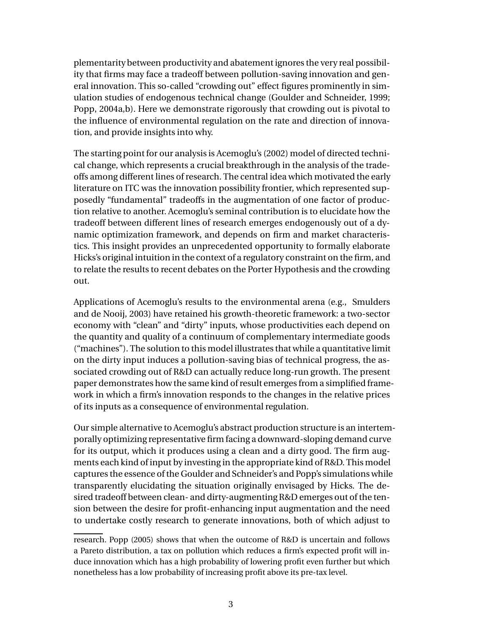plementarity between productivity and abatement ignores the very real possibility that firms may face a tradeoff between pollution-saving innovation and general innovation. This so-called "crowding out" effect figures prominently in simulation studies of endogenous technical change (Goulder and Schneider, 1999; Popp, 2004a,b). Here we demonstrate rigorously that crowding out is pivotal to the influence of environmental regulation on the rate and direction of innovation, and provide insights into why.

The starting point for our analysis is Acemoglu's (2002) model of directed technical change, which represents a crucial breakthrough in the analysis of the tradeoffs among different lines of research. The central idea which motivated the early literature on ITC was the innovation possibility frontier, which represented supposedly "fundamental" tradeoffs in the augmentation of one factor of production relative to another. Acemoglu's seminal contribution is to elucidate how the tradeoff between different lines of research emerges endogenously out of a dynamic optimization framework, and depends on firm and market characteristics. This insight provides an unprecedented opportunity to formally elaborate Hicks's original intuition in the context of a regulatory constraint on the firm, and to relate the results to recent debates on the Porter Hypothesis and the crowding out.

Applications of Acemoglu's results to the environmental arena (e.g., Smulders and de Nooij, 2003) have retained his growth-theoretic framework: a two-sector economy with "clean" and "dirty" inputs, whose productivities each depend on the quantity and quality of a continuum of complementary intermediate goods ("machines"). The solution to this model illustrates that while a quantitative limit on the dirty input induces a pollution-saving bias of technical progress, the associated crowding out of R&D can actually reduce long-run growth. The present paper demonstrates how the same kind of result emerges from a simplified framework in which a firm's innovation responds to the changes in the relative prices of its inputs as a consequence of environmental regulation.

Our simple alternative to Acemoglu's abstract production structure is an intertemporally optimizing representative firm facing a downward-sloping demand curve for its output, which it produces using a clean and a dirty good. The firm augments each kind of input by investing in the appropriate kind of R&D. This model captures the essence of the Goulder and Schneider's and Popp's simulations while transparently elucidating the situation originally envisaged by Hicks. The desired tradeoff between clean- and dirty-augmenting R&D emerges out of the tension between the desire for profit-enhancing input augmentation and the need to undertake costly research to generate innovations, both of which adjust to

research. Popp (2005) shows that when the outcome of R&D is uncertain and follows a Pareto distribution, a tax on pollution which reduces a firm's expected profit will induce innovation which has a high probability of lowering profit even further but which nonetheless has a low probability of increasing profit above its pre-tax level.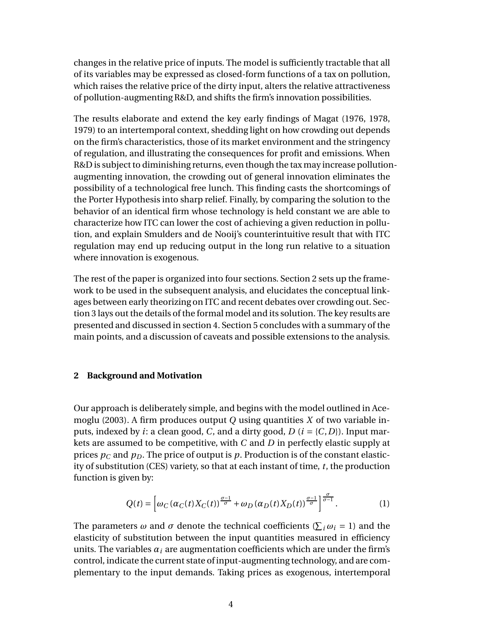changes in the relative price of inputs. The model is sufficiently tractable that all of its variables may be expressed as closed-form functions of a tax on pollution, which raises the relative price of the dirty input, alters the relative attractiveness of pollution-augmenting R&D, and shifts the firm's innovation possibilities.

The results elaborate and extend the key early findings of Magat (1976, 1978, 1979) to an intertemporal context, shedding light on how crowding out depends on the firm's characteristics, those of its market environment and the stringency of regulation, and illustrating the consequences for profit and emissions. When R&D is subject to diminishing returns, even though the tax may increase pollutionaugmenting innovation, the crowding out of general innovation eliminates the possibility of a technological free lunch. This finding casts the shortcomings of the Porter Hypothesis into sharp relief. Finally, by comparing the solution to the behavior of an identical firm whose technology is held constant we are able to characterize how ITC can lower the cost of achieving a given reduction in pollution, and explain Smulders and de Nooij's counterintuitive result that with ITC regulation may end up reducing output in the long run relative to a situation where innovation is exogenous.

The rest of the paper is organized into four sections. Section 2 sets up the framework to be used in the subsequent analysis, and elucidates the conceptual linkages between early theorizing on ITC and recent debates over crowding out. Section 3 lays out the details of the formal model and its solution. The key results are presented and discussed in section 4. Section 5 concludes with a summary of the main points, and a discussion of caveats and possible extensions to the analysis.

## **2 Background and Motivation**

Our approach is deliberately simple, and begins with the model outlined in Acemoglu (2003). A firm produces output *Q* using quantities *X* of two variable inputs, indexed by *i*: a clean good, *C*, and a dirty good, *D* (*i* = {*C*,*D*}). Input markets are assumed to be competitive, with *C* and *D* in perfectly elastic supply at prices  $p_C$  and  $p_D$ . The price of output is  $p$ . Production is of the constant elasticity of substitution (CES) variety, so that at each instant of time, *t*, the production function is given by:

$$
Q(t) = \left[ \omega_C \left( \alpha_C(t) X_C(t) \right)^{\frac{\sigma - 1}{\sigma}} + \omega_D \left( \alpha_D(t) X_D(t) \right)^{\frac{\sigma - 1}{\sigma}} \right]^{\frac{\sigma}{\sigma - 1}}. \tag{1}
$$

The parameters  $\omega$  and  $\sigma$  denote the technical coefficients ( $\sum_i \omega_i = 1$ ) and the elasticity of substitution between the input quantities measured in efficiency units. The variables  $\alpha_i$  are augmentation coefficients which are under the firm's control, indicate the current state of input-augmenting technology, and are complementary to the input demands. Taking prices as exogenous, intertemporal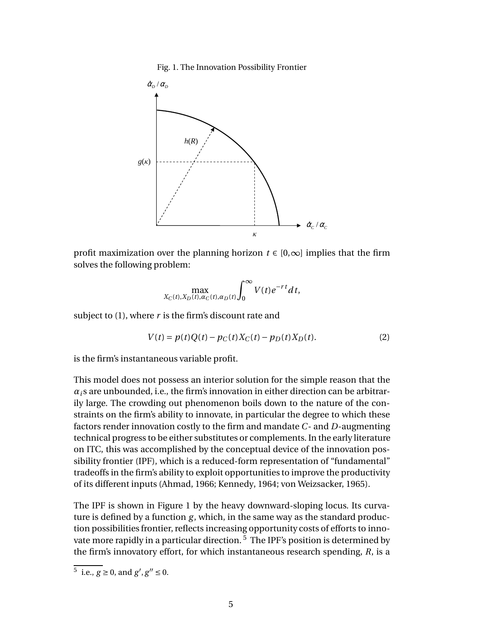#### Fig. 1. The Innovation Possibility Frontier



profit maximization over the planning horizon  $t \in [0,\infty]$  implies that the firm solves the following problem:

$$
\max_{X_C(t), X_D(t), \alpha_C(t), \alpha_D(t)} \int_0^\infty V(t) e^{-rt} dt,
$$

subject to (1), where *r* is the firm's discount rate and

$$
V(t) = p(t)Q(t) - p_C(t)X_C(t) - p_D(t)X_D(t).
$$
 (2)

is the firm's instantaneous variable profit.

This model does not possess an interior solution for the simple reason that the  $\alpha_i$  s are unbounded, i.e., the firm's innovation in either direction can be arbitrarily large. The crowding out phenomenon boils down to the nature of the constraints on the firm's ability to innovate, in particular the degree to which these factors render innovation costly to the firm and mandate *C*- and *D*-augmenting technical progress to be either substitutes or complements. In the early literature on ITC, this was accomplished by the conceptual device of the innovation possibility frontier (IPF), which is a reduced-form representation of "fundamental" tradeoffs in the firm's ability to exploit opportunities to improve the productivity of its different inputs (Ahmad, 1966; Kennedy, 1964; von Weizsacker, 1965).

The IPF is shown in Figure 1 by the heavy downward-sloping locus. Its curvature is defined by a function *g*, which, in the same way as the standard production possibilities frontier, reflects increasing opportunity costs of efforts to innovate more rapidly in a particular direction.<sup>5</sup> The IPF's position is determined by the firm's innovatory effort, for which instantaneous research spending, *R*, is a

<sup>&</sup>lt;sup>5</sup> i.e., *g* ≥ 0, and *g'*, *g''* ≤ 0.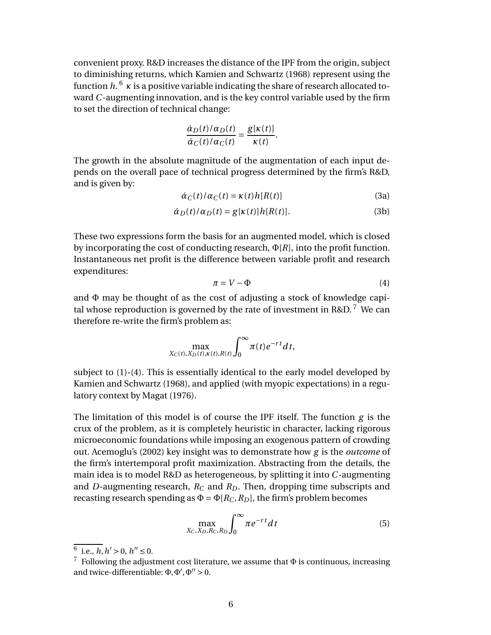convenient proxy. R&D increases the distance of the IPF from the origin, subject to diminishing returns, which Kamien and Schwartz (1968) represent using the function *h*. <sup>6</sup> *κ* is a positive variable indicating the share of research allocated toward *C*-augmenting innovation, and is the key control variable used by the firm to set the direction of technical change:

$$
\frac{\dot{\alpha}_D(t)/\alpha_D(t)}{\dot{\alpha}_C(t)/\alpha_C(t)} = \frac{g[\kappa(t)]}{\kappa(t)}.
$$

The growth in the absolute magnitude of the augmentation of each input depends on the overall pace of technical progress determined by the firm's R&D, and is given by:

$$
\dot{\alpha}_C(t)/\alpha_C(t) = \kappa(t)h[R(t)]
$$
\n(3a)

$$
\dot{\alpha}_D(t)/\alpha_D(t) = g[\kappa(t)]h[R(t)].
$$
\n(3b)

These two expressions form the basis for an augmented model, which is closed by incorporating the cost of conducting research, Φ[*R*], into the profit function. Instantaneous net profit is the difference between variable profit and research expenditures:

$$
\pi = V - \Phi \tag{4}
$$

and Φ may be thought of as the cost of adjusting a stock of knowledge capital whose reproduction is governed by the rate of investment in R&D.<sup>7</sup> We can therefore re-write the firm's problem as:

$$
\max_{X_C(t),X_D(t),X(t),R(t)} \int_0^\infty \pi(t) e^{-rt} dt,
$$

subject to (1)-(4). This is essentially identical to the early model developed by Kamien and Schwartz (1968), and applied (with myopic expectations) in a regulatory context by Magat (1976).

The limitation of this model is of course the IPF itself. The function *g* is the crux of the problem, as it is completely heuristic in character, lacking rigorous microeconomic foundations while imposing an exogenous pattern of crowding out. Acemoglu's (2002) key insight was to demonstrate how *g* is the *outcome* of the firm's intertemporal profit maximization. Abstracting from the details, the main idea is to model R&D as heterogeneous, by splitting it into *C*-augmenting and *D*-augmenting research,  $R_C$  and  $R_D$ . Then, dropping time subscripts and recasting research spending as  $\Phi = \Phi[R_C, R_D]$ , the firm's problem becomes

$$
\max_{X_C, X_D, R_C, R_D} \int_0^\infty \pi e^{-rt} dt \tag{5}
$$

 $\frac{6}{5}$  i.e., *h*, *h'* > 0, *h''* ≤ 0.

<sup>&</sup>lt;sup>7</sup> Following the adjustment cost literature, we assume that  $\Phi$  is continuous, increasing and twice-differentiable:  $\Phi$ ,  $\Phi'$ ,  $\Phi'' > 0$ .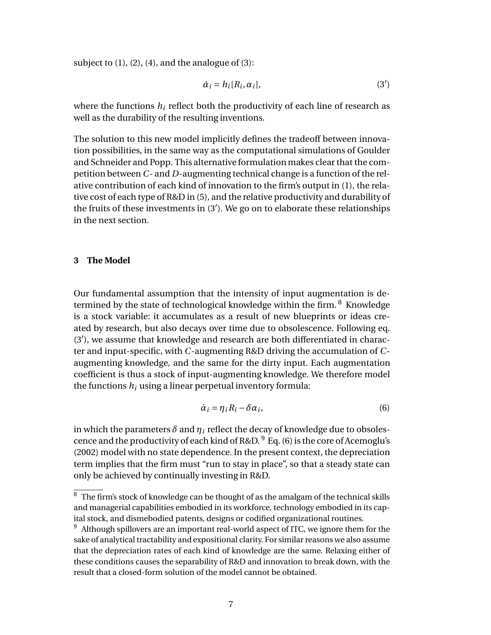subject to  $(1)$ ,  $(2)$ ,  $(4)$ , and the analogue of  $(3)$ :

$$
\dot{\alpha}_i = h_i[R_i, \alpha_i],\tag{3'}
$$

where the functions  $h_i$  reflect both the productivity of each line of research as well as the durability of the resulting inventions.

The solution to this new model implicitly defines the tradeoff between innovation possibilities, in the same way as the computational simulations of Goulder and Schneider and Popp. This alternative formulation makes clear that the competition between *C*- and *D*-augmenting technical change is a function of the relative contribution of each kind of innovation to the firm's output in (1), the relative cost of each type of R&D in (5), and the relative productivity and durability of the fruits of these investments in (3′ ). We go on to elaborate these relationships in the next section.

## **3 The Model**

Our fundamental assumption that the intensity of input augmentation is determined by the state of technological knowledge within the firm.  $8$  Knowledge is a stock variable: it accumulates as a result of new blueprints or ideas created by research, but also decays over time due to obsolescence. Following eq. (3′ ), we assume that knowledge and research are both differentiated in character and input-specific, with *C*-augmenting R&D driving the accumulation of *C*augmenting knowledge, and the same for the dirty input. Each augmentation coefficient is thus a stock of input-augmenting knowledge. We therefore model the functions  $h_i$  using a linear perpetual inventory formula:

$$
\dot{\alpha}_i = \eta_i R_i - \delta \alpha_i, \tag{6}
$$

in which the parameters  $\delta$  and  $\eta_i$  reflect the decay of knowledge due to obsolescence and the productivity of each kind of R&D.  $9$  Eq. (6) is the core of Acemoglu's (2002) model with no state dependence. In the present context, the depreciation term implies that the firm must "run to stay in place", so that a steady state can only be achieved by continually investing in R&D.

 $\sqrt{8}$  The firm's stock of knowledge can be thought of as the amalgam of the technical skills and managerial capabilities embodied in its workforce, technology embodied in its capital stock, and dismebodied patents, designs or codified organizational routines.

 $9$  Although spillovers are an important real-world aspect of ITC, we ignore them for the sake of analytical tractability and expositional clarity. For similar reasons we also assume that the depreciation rates of each kind of knowledge are the same. Relaxing either of these conditions causes the separability of R&D and innovation to break down, with the result that a closed-form solution of the model cannot be obtained.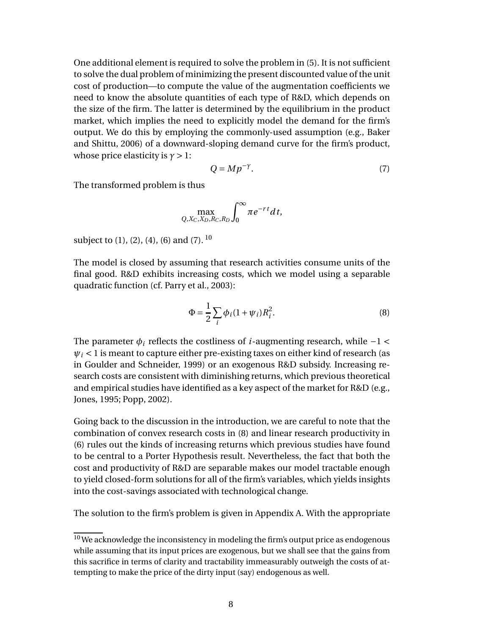One additional element is required to solve the problem in (5). It is not sufficient to solve the dual problem of minimizing the present discounted value of the unit cost of production—to compute the value of the augmentation coefficients we need to know the absolute quantities of each type of R&D, which depends on the size of the firm. The latter is determined by the equilibrium in the product market, which implies the need to explicitly model the demand for the firm's output. We do this by employing the commonly-used assumption (e.g., Baker and Shittu, 2006) of a downward-sloping demand curve for the firm's product, whose price elasticity is  $\gamma > 1$ :

$$
Q = M p^{-\gamma}.
$$
 (7)

The transformed problem is thus

$$
\max_{Q,X_C,X_D,R_C,R_D}\int_0^\infty \pi e^{-rt}dt,
$$

subject to  $(1)$ ,  $(2)$ ,  $(4)$ ,  $(6)$  and  $(7)$ .  $10$ 

The model is closed by assuming that research activities consume units of the final good. R&D exhibits increasing costs, which we model using a separable quadratic function (cf. Parry et al., 2003):

$$
\Phi = \frac{1}{2} \sum_{i} \phi_i (1 + \psi_i) R_i^2.
$$
\n(8)

The parameter  $\phi_i$  reflects the costliness of *i*-augmenting research, while  $-1 <$  $\psi_i$  < 1 is meant to capture either pre-existing taxes on either kind of research (as in Goulder and Schneider, 1999) or an exogenous R&D subsidy. Increasing research costs are consistent with diminishing returns, which previous theoretical and empirical studies have identified as a key aspect of the market for R&D (e.g., Jones, 1995; Popp, 2002).

Going back to the discussion in the introduction, we are careful to note that the combination of convex research costs in (8) and linear research productivity in (6) rules out the kinds of increasing returns which previous studies have found to be central to a Porter Hypothesis result. Nevertheless, the fact that both the cost and productivity of R&D are separable makes our model tractable enough to yield closed-form solutions for all of the firm's variables, which yields insights into the cost-savings associated with technological change.

The solution to the firm's problem is given in Appendix A. With the appropriate

 $10$  We acknowledge the inconsistency in modeling the firm's output price as endogenous while assuming that its input prices are exogenous, but we shall see that the gains from this sacrifice in terms of clarity and tractability immeasurably outweigh the costs of attempting to make the price of the dirty input (say) endogenous as well.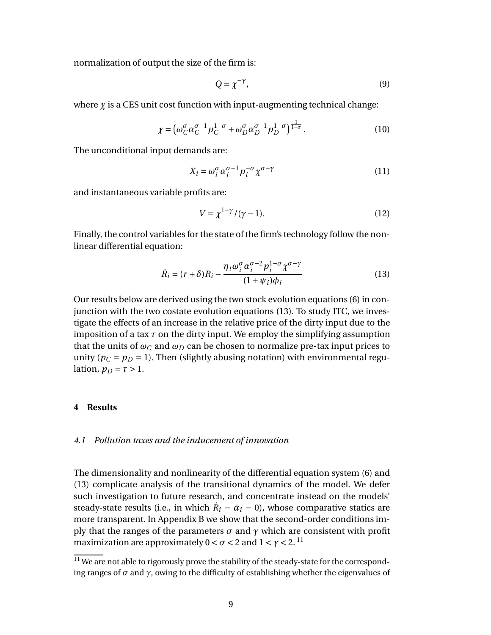normalization of output the size of the firm is:

$$
Q = \chi^{-\gamma},\tag{9}
$$

where  $\chi$  is a CES unit cost function with input-augmenting technical change:

$$
\chi = \left(\omega_C^{\sigma} \alpha_C^{\sigma-1} p_C^{1-\sigma} + \omega_D^{\sigma} \alpha_D^{\sigma-1} p_D^{1-\sigma}\right)^{\frac{1}{1-\sigma}}.
$$
\n(10)

The unconditional input demands are:

$$
X_i = \omega_i^{\sigma} \alpha_i^{\sigma - 1} p_i^{-\sigma} \chi^{\sigma - \gamma}
$$
 (11)

and instantaneous variable profits are:

$$
V = \chi^{1-\gamma}/(\gamma - 1). \tag{12}
$$

Finally, the control variables for the state of the firm's technology follow the nonlinear differential equation:

$$
\dot{R}_i = (r + \delta)R_i - \frac{\eta_i \omega_i^{\sigma} \alpha_i^{\sigma - 2} p_i^{1 - \sigma} \chi^{\sigma - \gamma}}{(1 + \psi_i)\phi_i}
$$
(13)

Our results below are derived using the two stock evolution equations (6) in conjunction with the two costate evolution equations (13). To study ITC, we investigate the effects of an increase in the relative price of the dirty input due to the imposition of a tax *τ* on the dirty input. We employ the simplifying assumption that the units of  $\omega_C$  and  $\omega_D$  can be chosen to normalize pre-tax input prices to unity ( $p_C = p_D = 1$ ). Then (slightly abusing notation) with environmental regulation,  $p_D = \tau > 1$ .

## **4 Results**

#### *4.1 Pollution taxes and the inducement of innovation*

The dimensionality and nonlinearity of the differential equation system (6) and (13) complicate analysis of the transitional dynamics of the model. We defer such investigation to future research, and concentrate instead on the models' steady-state results (i.e., in which  $\dot{R}_i = \dot{\alpha}_i = 0$ ), whose comparative statics are more transparent. In Appendix B we show that the second-order conditions imply that the ranges of the parameters  $\sigma$  and  $\gamma$  which are consistent with profit maximization are approximately  $0 < \sigma < 2$  and  $1 < \gamma < 2$ .<sup>11</sup>

 $11$  We are not able to rigorously prove the stability of the steady-state for the corresponding ranges of  $\sigma$  and  $\gamma$ , owing to the difficulty of establishing whether the eigenvalues of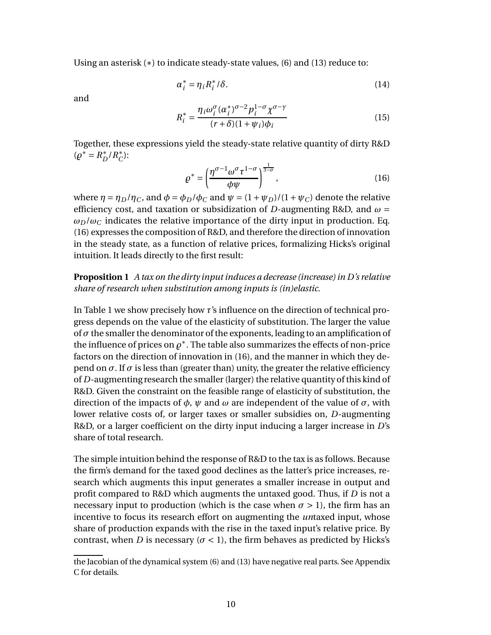Using an asterisk (\*) to indicate steady-state values, (6) and (13) reduce to:

$$
\alpha_i^* = \eta_i R_i^* / \delta. \tag{14}
$$

and

$$
R_i^* = \frac{\eta_i \omega_i^{\sigma} (\alpha_i^*)^{\sigma - 2} p_i^{1 - \sigma} \chi^{\sigma - \gamma}}{(r + \delta)(1 + \psi_i)\phi_i}
$$
(15)

Together, these expressions yield the steady-state relative quantity of dirty R&D  $(\rho^* = R_D^* / R_C^*)$ :

$$
\varrho^* = \left(\frac{\eta^{\sigma-1}\omega^{\sigma}\tau^{1-\sigma}}{\phi\psi}\right)^{\frac{1}{3-\sigma}},\tag{16}
$$

where  $\eta = \eta_D/\eta_C$ , and  $\phi = \phi_D/\phi_C$  and  $\psi = (1 + \psi_D)/(1 + \psi_C)$  denote the relative efficiency cost, and taxation or subsidization of *D*-augmenting R&D, and *ω* =  $\omega_D/\omega_C$  indicates the relative importance of the dirty input in production. Eq. (16) expresses the composition of R&D, and therefore the direction of innovation in the steady state, as a function of relative prices, formalizing Hicks's original intuition. It leads directly to the first result:

**Proposition 1** *A tax on the dirty input induces a decrease (increase) in D's relative share of research when substitution among inputs is (in)elastic.*

In Table 1 we show precisely how *τ*'s influence on the direction of technical progress depends on the value of the elasticity of substitution. The larger the value of*σ* the smaller the denominator of the exponents, leading to an amplification of the influence of prices on  $\varrho^*.$  The table also summarizes the effects of non-price factors on the direction of innovation in (16), and the manner in which they depend on  $\sigma$ . If  $\sigma$  is less than (greater than) unity, the greater the relative efficiency of *D*-augmenting research the smaller (larger) the relative quantity of this kind of R&D. Given the constraint on the feasible range of elasticity of substitution, the direction of the impacts of  $\phi$ ,  $\psi$  and  $\omega$  are independent of the value of  $\sigma$ , with lower relative costs of, or larger taxes or smaller subsidies on, *D*-augmenting R&D, or a larger coefficient on the dirty input inducing a larger increase in *D*'s share of total research.

The simple intuition behind the response of R&D to the tax is as follows. Because the firm's demand for the taxed good declines as the latter's price increases, research which augments this input generates a smaller increase in output and profit compared to R&D which augments the untaxed good. Thus, if *D* is not a necessary input to production (which is the case when  $\sigma > 1$ ), the firm has an incentive to focus its research effort on augmenting the *un*taxed input, whose share of production expands with the rise in the taxed input's relative price. By contrast, when *D* is necessary ( $\sigma$  < 1), the firm behaves as predicted by Hicks's

the Jacobian of the dynamical system (6) and (13) have negative real parts. See Appendix C for details.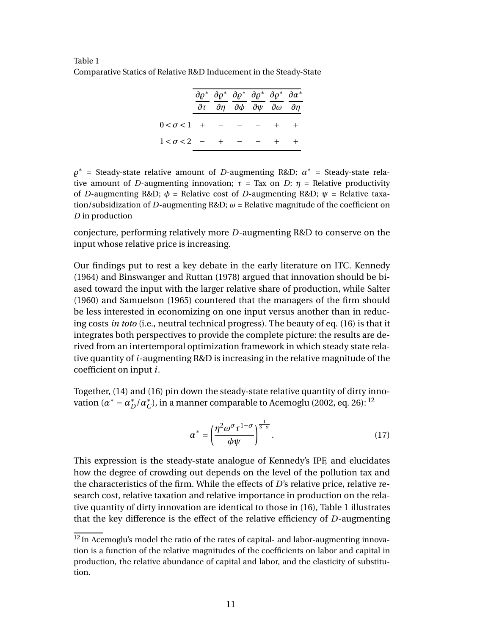Table 1 Comparative Statics of Relative R&D Inducement in the Steady-State

|                              | $\partial \rho^*$ $\partial \rho^*$ $\partial \rho^*$ $\partial \rho^*$ $\partial \rho^*$ $\partial \alpha^*$<br>$\partial \tau$ $\partial \eta$ $\partial \phi$ $\partial \psi$ $\partial \omega$ $\partial \eta$ |  |  |
|------------------------------|--------------------------------------------------------------------------------------------------------------------------------------------------------------------------------------------------------------------|--|--|
| 0< $\sigma$ <1 + - - - + +   |                                                                                                                                                                                                                    |  |  |
| $1 < \sigma < 2$ - + - - + + |                                                                                                                                                                                                                    |  |  |

*̺* ∗ = Steady-state relative amount of *D*-augmenting R&D; *α* ∗ = Steady-state relative amount of *D*-augmenting innovation;  $\tau =$  Tax on *D*;  $\eta =$  Relative productivity of *D*-augmenting R&D;  $\phi$  = Relative cost of *D*-augmenting R&D;  $\psi$  = Relative taxation/subsidization of *D*-augmenting R&D; *ω* = Relative magnitude of the coefficient on *D* in production

conjecture, performing relatively more *D*-augmenting R&D to conserve on the input whose relative price is increasing.

Our findings put to rest a key debate in the early literature on ITC. Kennedy (1964) and Binswanger and Ruttan (1978) argued that innovation should be biased toward the input with the larger relative share of production, while Salter (1960) and Samuelson (1965) countered that the managers of the firm should be less interested in economizing on one input versus another than in reducing costs *in toto* (i.e., neutral technical progress). The beauty of eq. (16) is that it integrates both perspectives to provide the complete picture: the results are derived from an intertemporal optimization framework in which steady state relative quantity of *i*-augmenting R&D is increasing in the relative magnitude of the coefficient on input *i*.

Together, (14) and (16) pin down the steady-state relative quantity of dirty innovation ( $\alpha^* = \alpha_D^* / \alpha_C^*$ ), in a manner comparable to Acemoglu (2002, eq. 26): <sup>12</sup>

$$
\alpha^* = \left(\frac{\eta^2 \omega^\sigma \tau^{1-\sigma}}{\phi \psi}\right)^{\frac{1}{3-\sigma}}.\tag{17}
$$

This expression is the steady-state analogue of Kennedy's IPF, and elucidates how the degree of crowding out depends on the level of the pollution tax and the characteristics of the firm. While the effects of *D*'s relative price, relative research cost, relative taxation and relative importance in production on the relative quantity of dirty innovation are identical to those in (16), Table 1 illustrates that the key difference is the effect of the relative efficiency of *D*-augmenting

<sup>&</sup>lt;sup>12</sup> In Acemoglu's model the ratio of the rates of capital- and labor-augmenting innovation is a function of the relative magnitudes of the coefficients on labor and capital in production, the relative abundance of capital and labor, and the elasticity of substitution.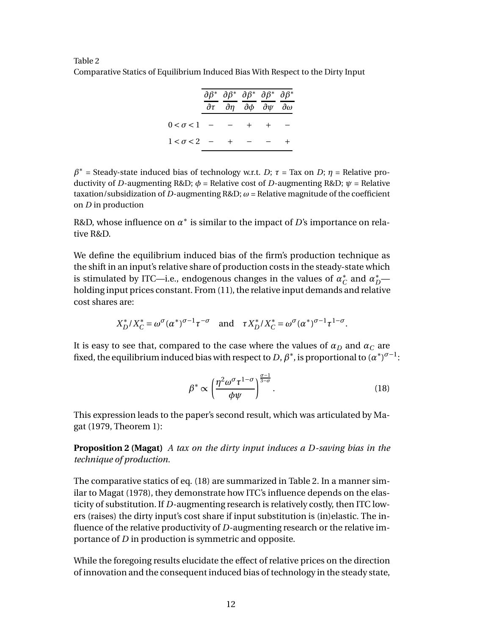Table 2 Comparative Statics of Equilibrium Induced Bias With Respect to the Dirty Input

|                      |  |            | $\partial \beta^*$ $\partial \beta^*$ $\partial \beta^*$ $\partial \beta^*$ $\partial \beta^*$<br>$\partial \tau$ $\partial \eta$ $\partial \phi$ $\partial \psi$ $\partial \omega$ |  |
|----------------------|--|------------|-------------------------------------------------------------------------------------------------------------------------------------------------------------------------------------|--|
| $0 < \sigma < 1$ - - |  | $+$ $+$    |                                                                                                                                                                                     |  |
| $1 < \sigma < 2 - +$ |  | $\sim$ $-$ |                                                                                                                                                                                     |  |

*β* ∗ = Steady-state induced bias of technology w.r.t. *D*; *τ* = Tax on *D*; *η* = Relative productivity of *D*-augmenting R&D; *φ* = Relative cost of *D*-augmenting R&D; *ψ* = Relative taxation/subsidization of *D*-augmenting R&D;  $\omega$  = Relative magnitude of the coefficient on *D* in production

R&D, whose influence on  $\alpha^*$  is similar to the impact of *D'*s importance on relative R&D.

We define the equilibrium induced bias of the firm's production technique as the shift in an input's relative share of production costs in the steady-state which is stimulated by ITC—i.e., endogenous changes in the values of  $a_C^*$  and  $a_D^*$  holding input prices constant. From (11), the relative input demands and relative cost shares are:

$$
X_D^* / X_C^* = \omega^{\sigma} (\alpha^*)^{\sigma - 1} \tau^{-\sigma} \quad \text{and} \quad \tau X_D^* / X_C^* = \omega^{\sigma} (\alpha^*)^{\sigma - 1} \tau^{1 - \sigma}.
$$

It is easy to see that, compared to the case where the values of  $\alpha_D$  and  $\alpha_C$  are fixed, the equilibrium induced bias with respect to *D*,  $\beta^*$ , is proportional to  $(a^*)^{\sigma-1}$ :

$$
\beta^* \propto \left(\frac{\eta^2 \omega^{\sigma} \tau^{1-\sigma}}{\phi \psi}\right)^{\frac{\sigma-1}{3-\sigma}}.\tag{18}
$$

This expression leads to the paper's second result, which was articulated by Magat (1979, Theorem 1):

**Proposition 2 (Magat)** *A tax on the dirty input induces a D-saving bias in the technique of production.*

The comparative statics of eq. (18) are summarized in Table 2. In a manner similar to Magat (1978), they demonstrate how ITC's influence depends on the elasticity of substitution. If *D*-augmenting research is relatively costly, then ITC lowers (raises) the dirty input's cost share if input substitution is (in)elastic. The influence of the relative productivity of *D*-augmenting research or the relative importance of *D* in production is symmetric and opposite.

While the foregoing results elucidate the effect of relative prices on the direction of innovation and the consequent induced bias of technology in the steady state,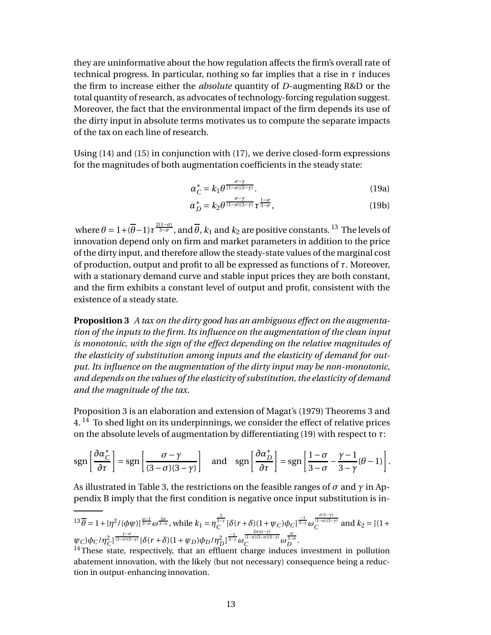they are uninformative about the how regulation affects the firm's overall rate of technical progress. In particular, nothing so far implies that a rise in  $\tau$  induces the firm to increase either the *absolute* quantity of *D*-augmenting R&D or the total quantity of research, as advocates of technology-forcing regulation suggest. Moreover, the fact that the environmental impact of the firm depends its use of the dirty input in absolute terms motivates us to compute the separate impacts of the tax on each line of research.

Using (14) and (15) in conjunction with (17), we derive closed-form expressions for the magnitudes of both augmentation coefficients in the steady state:

$$
\alpha_C^* = k_1 \theta^{\frac{\sigma - \gamma}{(1 - \sigma)(3 - \gamma)}}.
$$
\n(19a)

$$
\alpha_D^* = k_2 \theta^{\frac{\sigma - \gamma}{(1 - \sigma)(3 - \gamma)}} \tau^{\frac{1 - \sigma}{3 - \sigma}}, \tag{19b}
$$

where  $\theta = 1 + (\overline{\theta} - 1)\tau^{\frac{2(1-\sigma)}{3-\sigma}}$ , and  $\overline{\theta}$ ,  $k_1$  and  $k_2$  are positive constants. <sup>13</sup> The levels of innovation depend only on firm and market parameters in addition to the price of the dirty input, and therefore allow the steady-state values of the marginal cost of production, output and profit to all be expressed as functions of *τ*. Moreover, with a stationary demand curve and stable input prices they are both constant, and the firm exhibits a constant level of output and profit, consistent with the existence of a steady state.

**Proposition 3** *A tax on the dirty good has an ambiguous effect on the augmentation of the inputs to the firm. Its influence on the augmentation of the clean input is monotonic, with the sign of the effect depending on the relative magnitudes of the elasticity of substitution among inputs and the elasticity of demand for output. Its influence on the augmentation of the dirty input may be non-monotonic, and depends on the values of the elasticity of substitution, the elasticity of demand and the magnitude of the tax.*

Proposition 3 is an elaboration and extension of Magat's (1979) Theorems 3 and  $4.$  <sup>14</sup> To shed light on its underpinnings, we consider the effect of relative prices on the absolute levels of augmentation by differentiating (19) with respect to *τ*:

$$
\operatorname{sgn}\left[\frac{\partial \alpha_{C}^{*}}{\partial \tau}\right] = \operatorname{sgn}\left[\frac{\sigma - \gamma}{(3 - \sigma)(3 - \gamma)}\right] \quad \text{and} \quad \operatorname{sgn}\left[\frac{\partial \alpha_{D}^{*}}{\partial \tau}\right] = \operatorname{sgn}\left[\frac{1 - \sigma}{3 - \sigma} - \frac{\gamma - 1}{3 - \gamma}(\theta - 1)\right].
$$

As illustrated in Table 3, the restrictions on the feasible ranges of *σ* and *γ* in Appendix B imply that the first condition is negative once input substitution is in-

$$
^{13}\overline{\theta} = 1 + [\eta^2/(\phi\psi)]^{\frac{\sigma-1}{3-\sigma}} \omega^{\frac{2\sigma}{3-\sigma}}, \text{ while } k_1 = \eta_C^{\frac{2}{3-\gamma}} [\delta(r+\delta)(1+\psi_C)\phi_C]^{\frac{-1}{3-\gamma}} \omega_C^{\frac{\sigma(1-\gamma)}{(1-\sigma)(3-\gamma)}} \text{ and } k_2 = [(1+\psi_C)\phi_C/\eta_C^2]^{\frac{\gamma-\sigma}{(3-\sigma)(3-\gamma)}} [\delta(r+\delta)(1+\psi_D)\phi_D/\eta_D^2]^{\frac{-1}{3-\gamma}} \omega_C^{\frac{2\sigma(\sigma-\gamma)}{(1-\sigma)(3-\sigma)(3-\gamma)}} \omega_D^{\frac{\sigma}{3-\sigma}}.
$$
<sup>14</sup> These state, respectively, that an effluent charge induces investment in pollution

abatement innovation, with the likely (but not necessary) consequence being a reduction in output-enhancing innovation.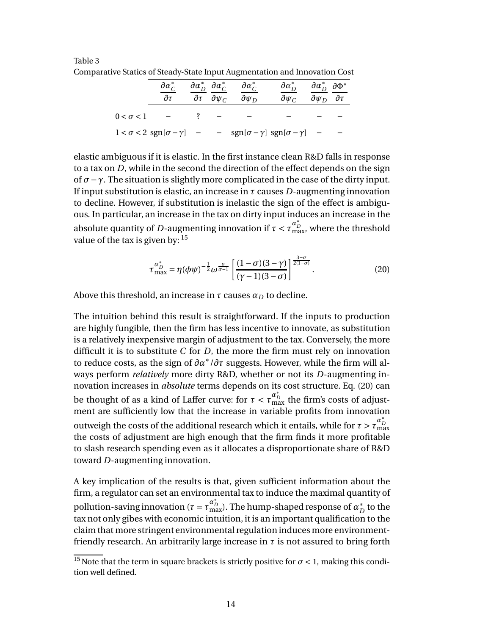Table 3 Comparative Statics of Steady-State Input Augmentation and Innovation Cost

| $\partial a_C^*$<br>$\partial \tau$ | $\partial \tau$ $\partial \psi_C$ | $\partial \alpha_D^*$ $\partial \alpha_C^*$ $\partial \alpha_C^*$<br>$\partial \psi_D$           | $\partial \alpha_D^*$ $\partial \alpha_D^*$ $\partial \Phi^*$<br>$\partial \psi_C$ | $\partial \psi_D$ $\partial \tau$ |  |
|-------------------------------------|-----------------------------------|--------------------------------------------------------------------------------------------------|------------------------------------------------------------------------------------|-----------------------------------|--|
| $0 < \sigma < 1$ – ? – –            |                                   |                                                                                                  |                                                                                    |                                   |  |
|                                     |                                   | $1 < \sigma < 2$ sgn $[\sigma - \gamma]$ - $-$ sgn $[\sigma - \gamma]$ sgn $[\sigma - \gamma]$ - |                                                                                    |                                   |  |

elastic ambiguous if it is elastic. In the first instance clean R&D falls in response to a tax on *D*, while in the second the direction of the effect depends on the sign of *σ*−*γ*. The situation is slightly more complicated in the case of the dirty input. If input substitution is elastic, an increase in *τ* causes *D*-augmenting innovation to decline. However, if substitution is inelastic the sign of the effect is ambiguous. In particular, an increase in the tax on dirty input induces an increase in the absolute quantity of *D*-augmenting innovation if  $\tau < \tau_{\text{max}}^{\alpha_D^*}$ , where the threshold value of the tax is given by:  $15$ 

$$
\tau_{\text{max}}^{\alpha_p^*} = \eta(\phi\psi)^{-\frac{1}{2}}\omega^{\frac{\sigma}{\sigma-1}}\left[\frac{(1-\sigma)(3-\gamma)}{(\gamma-1)(3-\sigma)}\right]^{\frac{3-\sigma}{2(1-\sigma)}}.\tag{20}
$$

Above this threshold, an increase in  $\tau$  causes  $\alpha_D$  to decline.

The intuition behind this result is straightforward. If the inputs to production are highly fungible, then the firm has less incentive to innovate, as substitution is a relatively inexpensive margin of adjustment to the tax. Conversely, the more difficult it is to substitute *C* for *D*, the more the firm must rely on innovation to reduce costs, as the sign of *∂α*∗ /*∂τ* suggests. However, while the firm will always perform *relatively* more dirty R&D, whether or not its *D*-augmenting innovation increases in *absolute* terms depends on its cost structure. Eq. (20) can be thought of as a kind of Laffer curve: for  $\tau < \tau_{\rm max}^{\alpha_D^*}$  the firm's costs of adjustment are sufficiently low that the increase in variable profits from innovation outweigh the costs of the additional research which it entails, while for  $\tau > \tau_\mathrm{max}^{\alpha_D^*}$ the costs of adjustment are high enough that the firm finds it more profitable to slash research spending even as it allocates a disproportionate share of R&D toward *D*-augmenting innovation.

A key implication of the results is that, given sufficient information about the firm, a regulator can set an environmental tax to induce the maximal quantity of pollution-saving innovation ( $\tau = \tau_{\rm max}^{\alpha_D^*}$ ). The hump-shaped response of  $\alpha_D^*$  to the tax not only gibes with economic intuition, it is an important qualification to the claim that more stringent environmental regulation induces more environmentfriendly research. An arbitrarily large increase in  $\tau$  is not assured to bring forth

<sup>&</sup>lt;sup>15</sup>Note that the term in square brackets is strictly positive for  $\sigma$  < 1, making this condition well defined.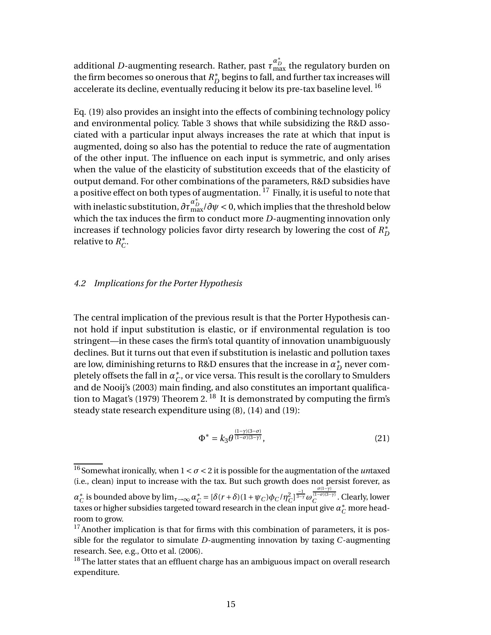additional  $D$ -augmenting research. Rather, past  $\tau^{\alpha^*_D}_{\text{max}}$  the regulatory burden on the firm becomes so onerous that  $R_D^*$  begins to fall, and further tax increases will accelerate its decline, eventually reducing it below its pre-tax baseline level.<sup>16</sup>

Eq. (19) also provides an insight into the effects of combining technology policy and environmental policy. Table 3 shows that while subsidizing the R&D associated with a particular input always increases the rate at which that input is augmented, doing so also has the potential to reduce the rate of augmentation of the other input. The influence on each input is symmetric, and only arises when the value of the elasticity of substitution exceeds that of the elasticity of output demand. For other combinations of the parameters, R&D subsidies have a positive effect on both types of augmentation.  $^{17}$  Finally, it is useful to note that with inelastic substitution,  $\partial\tau_{\max}^{a_B^*}/\partial\psi <$  0, which implies that the threshold below which the tax induces the firm to conduct more *D*-augmenting innovation only increases if technology policies favor dirty research by lowering the cost of  $R_D^*$ relative to  $R_C^*$ .

## *4.2 Implications for the Porter Hypothesis*

The central implication of the previous result is that the Porter Hypothesis cannot hold if input substitution is elastic, or if environmental regulation is too stringent—in these cases the firm's total quantity of innovation unambiguously declines. But it turns out that even if substitution is inelastic and pollution taxes are low, diminishing returns to R&D ensures that the increase in  $\alpha_D^*$  never completely offsets the fall in  $a^*_C$ , or vice versa. This result is the corollary to Smulders and de Nooij's (2003) main finding, and also constitutes an important qualification to Magat's (1979) Theorem 2.<sup>18</sup> It is demonstrated by computing the firm's steady state research expenditure using (8), (14) and (19):

$$
\Phi^* = k_3 \theta^{\frac{(1-\gamma)(3-\sigma)}{(1-\sigma)(3-\gamma)}},\tag{21}
$$

 $\frac{16}{16}$  Somewhat ironically, when  $1 < \sigma < 2$  it is possible for the augmentation of the *un*taxed (i.e., clean) input to increase with the tax. But such growth does not persist forever, as

*α*<sub>*C*</sub> is bounded above by lim<sub>*τ*→∞</sub>  $α_C^* = [\delta(r+\delta)(1+\psi_C)\phi_C/\eta_C^2]^\frac{-1}{3-\gamma}\omega$ *σ*(1−*γ*) (1−*σ*)(3−*γ*) *C* . Clearly, lower taxes or higher subsidies targeted toward research in the clean input give  $a_C^*$  more headroom to grow.

 $17$ Another implication is that for firms with this combination of parameters, it is possible for the regulator to simulate *D*-augmenting innovation by taxing *C*-augmenting research. See, e.g., Otto et al. (2006).

 $18$ The latter states that an effluent charge has an ambiguous impact on overall research expenditure.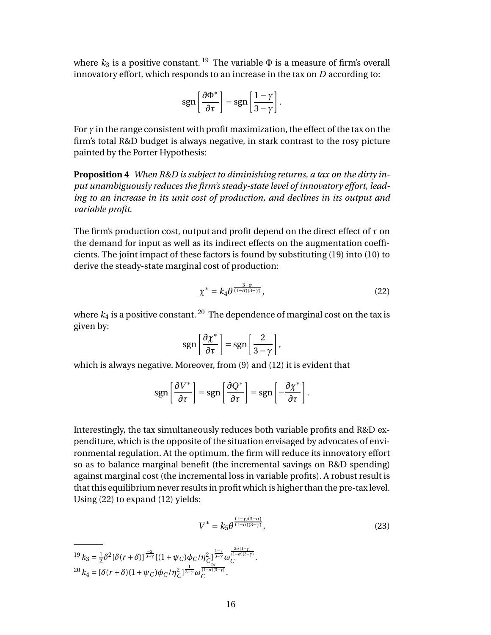where  $k_3$  is a positive constant. <sup>19</sup> The variable  $\Phi$  is a measure of firm's overall innovatory effort, which responds to an increase in the tax on *D* according to:

$$
sgn\left[\frac{\partial \Phi^*}{\partial \tau}\right] = sgn\left[\frac{1-\gamma}{3-\gamma}\right].
$$

For  $\gamma$  in the range consistent with profit maximization, the effect of the tax on the firm's total R&D budget is always negative, in stark contrast to the rosy picture painted by the Porter Hypothesis:

**Proposition 4** *When R&D is subject to diminishing returns, a tax on the dirty input unambiguously reduces the firm's steady-state level of innovatory effort, leading to an increase in its unit cost of production, and declines in its output and variable profit.*

The firm's production cost, output and profit depend on the direct effect of *τ* on the demand for input as well as its indirect effects on the augmentation coefficients. The joint impact of these factors is found by substituting (19) into (10) to derive the steady-state marginal cost of production:

$$
\chi^* = k_4 \theta^{\frac{3-\sigma}{(1-\sigma)(3-\gamma)}},\tag{22}
$$

where  $k_4$  is a positive constant.<sup>20</sup> The dependence of marginal cost on the tax is given by:

$$
sgn\left[\frac{\partial \chi^*}{\partial \tau}\right] = sgn\left[\frac{2}{3-\gamma}\right],
$$

which is always negative. Moreover, from (9) and (12) it is evident that

$$
\operatorname{sgn}\left[\frac{\partial V^*}{\partial \tau}\right] = \operatorname{sgn}\left[\frac{\partial Q^*}{\partial \tau}\right] = \operatorname{sgn}\left[-\frac{\partial \chi^*}{\partial \tau}\right].
$$

Interestingly, the tax simultaneously reduces both variable profits and R&D expenditure, which is the opposite of the situation envisaged by advocates of environmental regulation. At the optimum, the firm will reduce its innovatory effort so as to balance marginal benefit (the incremental savings on R&D spending) against marginal cost (the incremental loss in variable profits). A robust result is that this equilibrium never results in profit which is higher than the pre-tax level. Using (22) to expand (12) yields:

$$
V^* = k_5 \theta^{\frac{(1-\gamma)(3-\sigma)}{(1-\sigma)(3-\gamma)}},\tag{23}
$$

$$
^{19}k_3 = \frac{1}{2}\delta^2[\delta(r+\delta)]^{\frac{-2}{3-\gamma}}[(1+\psi_C)\phi_C/\eta_C^2]^{\frac{1-\gamma}{3-\gamma}}\omega_C^{\frac{2\sigma(1-\gamma)}{(1-\sigma)(3-\gamma)}}.
$$
  

$$
^{20}k_4 = [\delta(r+\delta)(1+\psi_C)\phi_C/\eta_C^2]^{\frac{1}{3-\gamma}}\omega_C^{\frac{2\sigma(1-\gamma)}{(1-\sigma)(3-\gamma)}}.
$$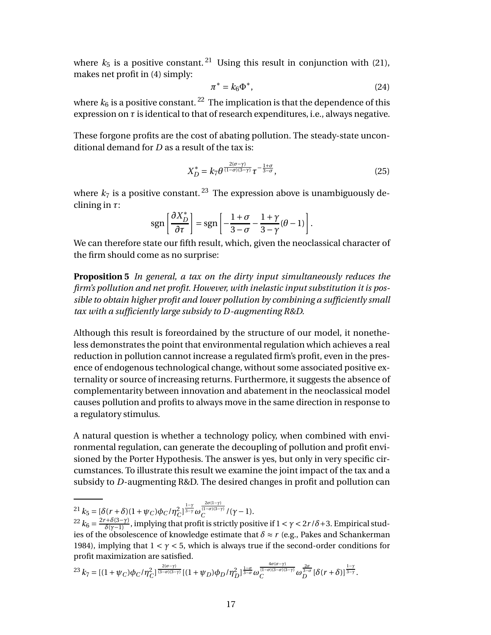where  $k_5$  is a positive constant. <sup>21</sup> Using this result in conjunction with (21), makes net profit in (4) simply:

$$
\pi^* = k_6 \Phi^*,\tag{24}
$$

where  $k_6$  is a positive constant.<sup>22</sup> The implication is that the dependence of this expression on  $\tau$  is identical to that of research expenditures, i.e., always negative.

These forgone profits are the cost of abating pollution. The steady-state unconditional demand for *D* as a result of the tax is:

$$
X_D^* = k_7 \theta^{\frac{2(\sigma - \gamma)}{(1 - \sigma)(3 - \gamma)}} \tau^{-\frac{1 + \sigma}{3 - \sigma}}, \tag{25}
$$

where  $k_7$  is a positive constant.<sup>23</sup> The expression above is unambiguously declining in *τ*:

$$
\operatorname{sgn}\left[\frac{\partial X_D^*}{\partial \tau}\right] = \operatorname{sgn}\left[-\frac{1+\sigma}{3-\sigma} - \frac{1+\gamma}{3-\gamma}(\theta-1)\right].
$$

We can therefore state our fifth result, which, given the neoclassical character of the firm should come as no surprise:

**Proposition 5** *In general, a tax on the dirty input simultaneously reduces the firm's pollution and net profit. However, with inelastic input substitution it is possible to obtain higher profit and lower pollution by combining a sufficiently small tax with a sufficiently large subsidy to D-augmenting R&D.*

Although this result is foreordained by the structure of our model, it nonetheless demonstrates the point that environmental regulation which achieves a real reduction in pollution cannot increase a regulated firm's profit, even in the presence of endogenous technological change, without some associated positive externality or source of increasing returns. Furthermore, it suggests the absence of complementarity between innovation and abatement in the neoclassical model causes pollution and profits to always move in the same direction in response to a regulatory stimulus.

A natural question is whether a technology policy, when combined with environmental regulation, can generate the decoupling of pollution and profit envisioned by the Porter Hypothesis. The answer is yes, but only in very specific circumstances. To illustrate this result we examine the joint impact of the tax and a subsidy to *D*-augmenting R&D. The desired changes in profit and pollution can

$$
^{23}k_7 = [(1+\psi_C)\phi_C/\eta_C^2]^{\frac{2(\sigma-\gamma)}{(3-\sigma)(3-\gamma)}}[(1+\psi_D)\phi_D/\eta_D^2]^{\frac{1-\sigma}{3-\sigma}}\omega_C^{\frac{4\sigma(\sigma-\gamma)}{(1-\sigma)(3-\sigma)(3-\gamma)}}\omega_D^{\frac{2\sigma}{3-\sigma}}[\delta(r+\delta)]^{\frac{1-\gamma}{3-\gamma}}.
$$

<sup>&</sup>lt;sup>21</sup>  $k_5 = [\delta(r+\delta)(1+\psi_C)\phi_C/\eta_C^2]^{\frac{1-\gamma}{3-\gamma}}\omega$ 2*σ*(1−*γ*) (1−*σ*)(3−*γ*) *C* /(*γ*−1).

 $\chi^2$ <sup>2</sup>  $k_6 = \frac{2r+\delta(3-\gamma)}{\delta(\gamma-1)}$ , implying that profit is strictly positive if  $1 < \gamma < 2r/\delta + 3$ . Empirical studies of the obsolescence of knowledge estimate that  $\delta \approx r$  (e.g., Pakes and Schankerman 1984), implying that  $1 < \gamma < 5$ , which is always true if the second-order conditions for profit maximization are satisfied.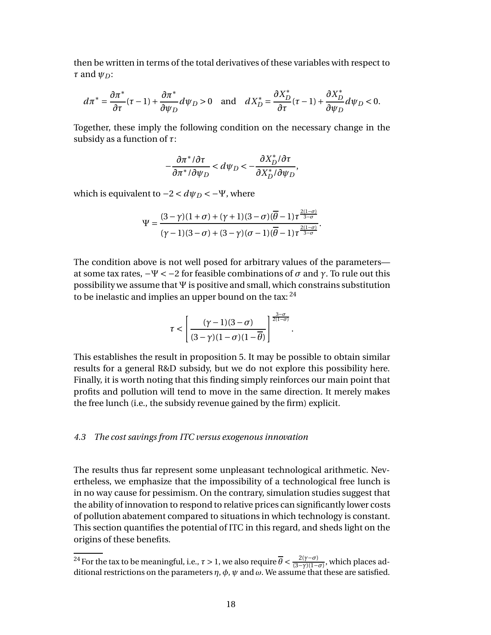then be written in terms of the total derivatives of these variables with respect to *τ* and *ψ<sup>D</sup>* :

$$
d\pi^* = \frac{\partial \pi^*}{\partial \tau}(\tau - 1) + \frac{\partial \pi^*}{\partial \psi_D}d\psi_D > 0 \quad \text{and} \quad dX_D^* = \frac{\partial X_D^*}{\partial \tau}(\tau - 1) + \frac{\partial X_D^*}{\partial \psi_D}d\psi_D < 0.
$$

Together, these imply the following condition on the necessary change in the subsidy as a function of *τ*:

$$
-\frac{\partial \pi^* / \partial \tau}{\partial \pi^* / \partial \psi_D} < d\psi_D < -\frac{\partial X_D^* / \partial \tau}{\partial X_D^* / \partial \psi_D},
$$

which is equivalent to  $-2 < dψ_D < -\Psi$ , where

$$
\Psi=\frac{(3-\gamma)(1+\sigma)+(\gamma+1)(3-\sigma)(\overline{\theta}-1)\tau^{\frac{2(1-\sigma)}{3-\sigma}}}{(\gamma-1)(3-\sigma)+(3-\gamma)(\sigma-1)(\overline{\theta}-1)\tau^{\frac{2(1-\sigma)}{3-\sigma}}}.
$$

The condition above is not well posed for arbitrary values of the parameters at some tax rates,  $-\Psi < -2$  for feasible combinations of  $\sigma$  and  $\gamma$ . To rule out this possibility we assume that Ψ is positive and small, which constrains substitution to be inelastic and implies an upper bound on the tax:  $24$ 

$$
\tau < \left[\frac{(\gamma -1)(3-\sigma)}{(3-\gamma)(1-\sigma)(1-\overline{\theta})}\right]^{\frac{3-\sigma}{2(1-\sigma)}}
$$

.

This establishes the result in proposition 5. It may be possible to obtain similar results for a general R&D subsidy, but we do not explore this possibility here. Finally, it is worth noting that this finding simply reinforces our main point that profits and pollution will tend to move in the same direction. It merely makes the free lunch (i.e., the subsidy revenue gained by the firm) explicit.

## *4.3 The cost savings from ITC versus exogenous innovation*

The results thus far represent some unpleasant technological arithmetic. Nevertheless, we emphasize that the impossibility of a technological free lunch is in no way cause for pessimism. On the contrary, simulation studies suggest that the ability of innovation to respond to relative prices can significantly lower costs of pollution abatement compared to situations in which technology is constant. This section quantifies the potential of ITC in this regard, and sheds light on the origins of these benefits.

<sup>&</sup>lt;sup>24</sup> For the tax to be meaningful, i.e.,  $\tau > 1$ , we also require  $\overline{\theta} < \frac{2(\gamma - \sigma)}{(3 - \gamma)(1 - \tau)}$  $\frac{2(y-0)}{(3-\gamma)(1-\sigma)}$ , which places additional restrictions on the parameters  $\eta$ ,  $\phi$ ,  $\psi$  and  $\omega$ . We assume that these are satisfied.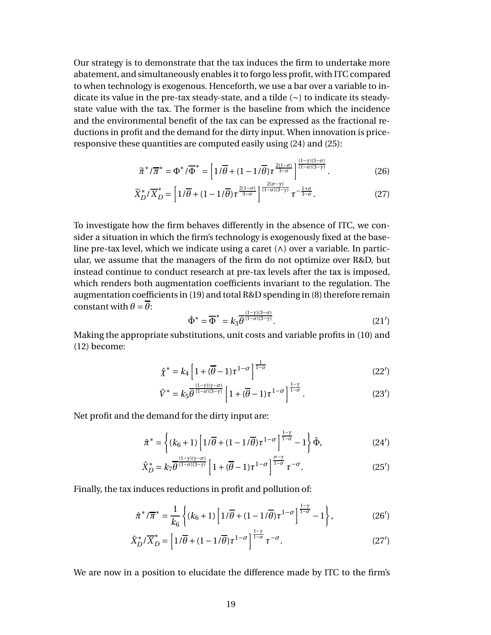Our strategy is to demonstrate that the tax induces the firm to undertake more abatement, and simultaneously enables it to forgo less profit, with ITC compared to when technology is exogenous. Henceforth, we use a bar over a variable to indicate its value in the pre-tax steady-state, and a tilde (∼) to indicate its steadystate value with the tax. The former is the baseline from which the incidence and the environmental benefit of the tax can be expressed as the fractional reductions in profit and the demand for the dirty input. When innovation is priceresponsive these quantities are computed easily using (24) and (25):

$$
\widetilde{\pi}^*/\overline{\pi}^* = \Phi^*/\overline{\Phi}^* = \left[1/\overline{\theta} + (1-1/\overline{\theta})\tau^{\frac{2(1-\sigma)}{3-\sigma}}\right]^{\frac{(1-\gamma)(3-\sigma)}{(1-\sigma)(3-\gamma)}}.
$$
\n(26)

$$
\widetilde{X}_D^*/\overline{X}_D^* = \left[1/\overline{\theta} + (1 - 1/\overline{\theta})\tau^{\frac{2(1-\sigma)}{3-\sigma}}\right]^{\frac{2(\sigma-\gamma)}{(1-\sigma)(3-\gamma)}}\tau^{-\frac{1+\sigma}{3-\sigma}}.\tag{27}
$$

To investigate how the firm behaves differently in the absence of ITC, we consider a situation in which the firm's technology is exogenously fixed at the baseline pre-tax level, which we indicate using a caret  $(\wedge)$  over a variable. In particular, we assume that the managers of the firm do not optimize over R&D, but instead continue to conduct research at pre-tax levels after the tax is imposed, which renders both augmentation coefficients invariant to the regulation. The augmentation coefficients in (19) and total R&D spending in (8) therefore remain constant with  $\theta = \overline{\theta}$ :

$$
\hat{\Phi}^* = \overline{\Phi}^* = k_3 \overline{\theta}^{\frac{(1-\gamma)(3-\sigma)}{(1-\sigma)(3-\gamma)}}.
$$
\n(21')

Making the appropriate substitutions, unit costs and variable profits in (10) and (12) become:

$$
\hat{\chi}^* = k_4 \left[ 1 + (\overline{\theta} - 1)\tau^{1-\sigma} \right]^{\frac{1}{1-\sigma}}
$$
\n(22')

$$
\hat{V}^* = k_5 \overline{\theta}^{\frac{(1-\gamma)(\gamma-\sigma)}{(1-\sigma)(3-\gamma)}} \left[ 1 + (\overline{\theta}-1)\tau^{1-\sigma} \right]^{\frac{1-\gamma}{1-\sigma}}.
$$
\n(23')

Net profit and the demand for the dirty input are:

$$
\hat{\pi}^* = \left\{ (k_6 + 1) \left[ 1/\overline{\theta} + (1 - 1/\overline{\theta}) \tau^{1-\sigma} \right]^{\frac{1-\gamma}{1-\sigma}} - 1 \right\} \hat{\Phi},\tag{24'}
$$

$$
\hat{X}_D^* = k_7 \overline{\theta}^{\frac{(1-\gamma)(\gamma-\sigma)}{(1-\sigma)(3-\gamma)}} \left[ 1 + (\overline{\theta}-1)\tau^{1-\sigma} \right]^{\frac{\sigma-\gamma}{1-\sigma}} \tau^{-\sigma}.
$$
 (25')

Finally, the tax induces reductions in profit and pollution of:

$$
\hat{\pi}^* / \overline{\pi}^* = \frac{1}{k_6} \left\{ (k_6 + 1) \left[ 1/\overline{\theta} + (1 - 1/\overline{\theta}) \tau^{1-\sigma} \right]^{\frac{1-\gamma}{1-\sigma}} - 1 \right\},\tag{26'}
$$

$$
\hat{X}_D^* / \overline{X}_D^* = \left[ 1 / \overline{\theta} + (1 - 1 / \overline{\theta}) \tau^{1 - \sigma} \right]^{\frac{1 - \gamma}{1 - \sigma}} \tau^{-\sigma}.
$$
\n(27')

We are now in a position to elucidate the difference made by ITC to the firm's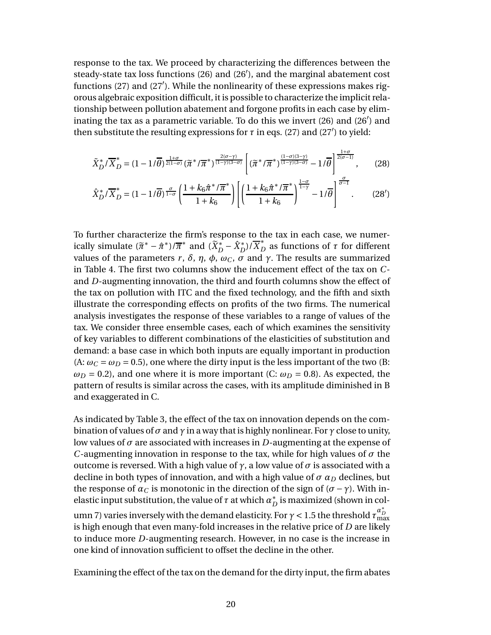response to the tax. We proceed by characterizing the differences between the steady-state tax loss functions (26) and (26′ ), and the marginal abatement cost functions (27) and (27′ ). While the nonlinearity of these expressions makes rigorous algebraic exposition difficult, it is possible to characterize the implicit relationship between pollution abatement and forgone profits in each case by eliminating the tax as a parametric variable. To do this we invert (26) and (26′ ) and then substitute the resulting expressions for  $\tau$  in eqs. (27) and (27') to yield:

$$
\tilde{X}_D^*/\overline{X}_D^* = (1 - 1/\overline{\theta})^{\frac{1+\sigma}{2(1-\sigma)}} (\tilde{\pi}^*/\overline{\pi}^*)^{\frac{2(\sigma-\gamma)}{(1-\gamma)(3-\sigma)}} \left[ (\tilde{\pi}^*/\overline{\pi}^*)^{\frac{(1-\sigma)(3-\gamma)}{(1-\gamma)(3-\sigma)}} - 1/\overline{\theta} \right]^{\frac{1+\sigma}{2(\sigma-1)}},\qquad(28)
$$

$$
\hat{X}_D^*/\overline{X}_D^* = (1 - 1/\overline{\theta})^{\frac{\sigma}{1-\sigma}} \left( \frac{1 + k_6 \hat{\pi}^* / \overline{\pi}^*}{1 + k_6} \right) \left[ \left( \frac{1 + k_6 \hat{\pi}^* / \overline{\pi}^*}{1 + k_6} \right)^{\frac{1-\sigma}{1-\gamma}} - 1/\overline{\theta} \right]^{\frac{\sigma}{\sigma-1}}.
$$
 (28')

To further characterize the firm's response to the tax in each case, we numerically simulate  $(\tilde{\pi}^* - \hat{\pi}^*)/\overline{\pi}^*$  and  $(\tilde{X}_D^* - \hat{X}_D^*)/\overline{X}_D^*$  as functions of  $\tau$  for different values of the parameters *r*, *δ*, *η*, *ϕ*, *ω*<sub>*C*</sub>, *σ* and *γ*. The results are summarized in Table 4. The first two columns show the inducement effect of the tax on *C*and *D*-augmenting innovation, the third and fourth columns show the effect of the tax on pollution with ITC and the fixed technology, and the fifth and sixth illustrate the corresponding effects on profits of the two firms. The numerical analysis investigates the response of these variables to a range of values of the tax. We consider three ensemble cases, each of which examines the sensitivity of key variables to different combinations of the elasticities of substitution and demand: a base case in which both inputs are equally important in production (A:  $\omega_C = \omega_D = 0.5$ ), one where the dirty input is the less important of the two (B:  $\omega_D$  = 0.2), and one where it is more important (C:  $\omega_D$  = 0.8). As expected, the pattern of results is similar across the cases, with its amplitude diminished in B and exaggerated in C.

As indicated by Table 3, the effect of the tax on innovation depends on the combination of values of  $\sigma$  and  $\gamma$  in a way that is highly nonlinear. For  $\gamma$  close to unity, low values of  $\sigma$  are associated with increases in *D*-augmenting at the expense of *C*-augmenting innovation in response to the tax, while for high values of  $\sigma$  the outcome is reversed. With a high value of  $γ$ , a low value of  $σ$  is associated with a decline in both types of innovation, and with a high value of  $\sigma \alpha_D$  declines, but the response of  $\alpha_C$  is monotonic in the direction of the sign of  $(\sigma - \gamma)$ . With inelastic input substitution, the value of  $\tau$  at which  $a_D^\ast$  is maximized (shown in column 7) varies inversely with the demand elasticity. For  $\gamma$  < 1.5 the threshold  $\tau^{a_B^*}_{\max}$ is high enough that even many-fold increases in the relative price of *D* are likely to induce more *D*-augmenting research. However, in no case is the increase in one kind of innovation sufficient to offset the decline in the other.

Examining the effect of the tax on the demand for the dirty input, the firm abates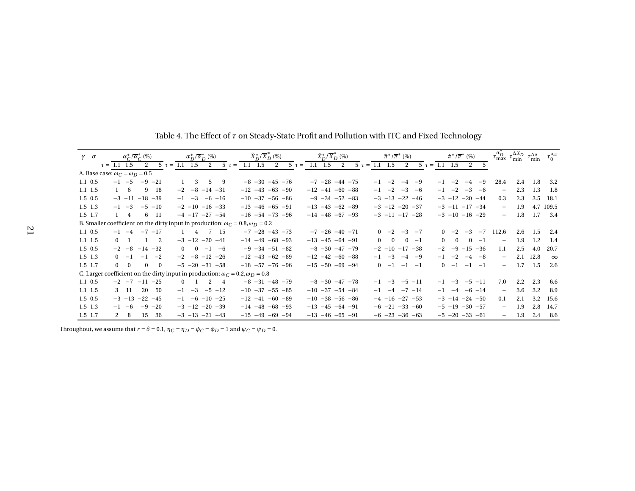| $\gamma$ $\sigma$ | $\alpha_C^*/\overline{\alpha}_C^*$ (%)                                                       |                                |                          | $\alpha_D^*/\overline{\alpha}_D^*$ (%) |                        |  | $\widetilde{X}_D^*/\overline{X}_D^*$ (%) |  |              |  | $\hat{X}_D^*/\overline{X}_D^*$ (%) |                         |   |  |  | $\widetilde{\pi}^*/\overline{\pi}^*$ (%) |                          |                        |           |  |          |                          | $\hat{\pi}^*/\overline{\pi}^*$ (%) |           |                          | $\tau_{\max}^{\alpha_D^*} \tau_{\min}^{\Delta X_D}$ | $\tau_{\min}^{\Delta \pi}$ | $\tau_0^{\Delta \pi}$ |
|-------------------|----------------------------------------------------------------------------------------------|--------------------------------|--------------------------|----------------------------------------|------------------------|--|------------------------------------------|--|--------------|--|------------------------------------|-------------------------|---|--|--|------------------------------------------|--------------------------|------------------------|-----------|--|----------|--------------------------|------------------------------------|-----------|--------------------------|-----------------------------------------------------|----------------------------|-----------------------|
|                   | $\tau = 1.1$ 1.5                                                                             | 2                              | $5 \tau = 1.1 \quad 1.5$ |                                        |                        |  | 2 $5 \tau = 1.1 \quad 1.5$               |  | 2 5 $\tau =$ |  |                                    | $1.1 \quad 1.5$         | 2 |  |  |                                          | $5 \tau = 1.1 \quad 1.5$ | 2                      |           |  |          | $5 \tau = 1.1 \quad 1.5$ | 2                                  | 5         |                          |                                                     |                            |                       |
|                   | A. Base case: $\omega_C = \omega_D = 0.5$                                                    |                                |                          |                                        |                        |  |                                          |  |              |  |                                    |                         |   |  |  |                                          |                          |                        |           |  |          |                          |                                    |           |                          |                                                     |                            |                       |
| $1.1 \t0.5$       | $-1$ $-5$                                                                                    | $-9$ $-21$                     | $\mathbf{1}$             | $\overline{\mathbf{3}}$                | 59                     |  | $-8$ $-30$ $-45$ $-76$                   |  |              |  |                                    | $-7$ $-28$ $-44$ $-75$  |   |  |  |                                          |                          | $-1$ $-2$ $-4$ $-9$    |           |  |          | $-1$ $-2$                | $-4$ $-9$                          |           | 28.4                     | 2.4                                                 | 1.8                        | 3.2                   |
| $1.1$ 1.5         | $1\quad 6$                                                                                   | 9 18                           |                          |                                        | $-2$ $-8$ $-14$ $-31$  |  | $-12$ $-43$ $-63$ $-90$                  |  |              |  |                                    | $-12$ $-41$ $-60$ $-88$ |   |  |  |                                          |                          | $-1$ $-2$ $-3$ $-6$    |           |  |          |                          | $-1$ $-2$ $-3$ $-6$                |           | $\overline{\phantom{m}}$ | 2.3                                                 | 1.3                        | - 1.8                 |
| $1.5 \t0.5$       | $-3$ $-11$ $-18$ $-39$                                                                       |                                |                          | $-1$ $-3$                              | $-6 - 16$              |  | $-10$ $-37$ $-56$ $-86$                  |  |              |  |                                    | $-9$ $-34$ $-52$ $-83$  |   |  |  |                                          |                          | $-3$ $-13$ $-22$ $-46$ |           |  |          |                          | $-3$ $-12$ $-20$ $-44$             |           | 0.3                      | 2.3                                                 | 3.5                        | 18.1                  |
| $1.5$ 1.3         | $-1$ $-3$                                                                                    | $-5 - 10$                      |                          |                                        | $-2$ $-10$ $-16$ $-33$ |  | $-13 -46 -65 -91$                        |  |              |  |                                    | $-13$ $-43$ $-62$ $-89$ |   |  |  |                                          |                          | $-3$ $-12$ $-20$ $-37$ |           |  |          |                          | $-3$ $-11$ $-17$ $-34$             |           | $-$                      | 1.9                                                 |                            | 4.7 109.5             |
| $1.5$ 1.7         | $1 \quad 4$                                                                                  | 6 11                           |                          |                                        | $-4$ $-17$ $-27$ $-54$ |  | $-16$ $-54$ $-73$ $-96$                  |  |              |  |                                    | $-14$ $-48$ $-67$ $-93$ |   |  |  |                                          |                          | $-3$ $-11$ $-17$ $-28$ |           |  |          |                          | $-3$ $-10$ $-16$ $-29$             |           | $-$                      | 1.8                                                 | 1.7                        | 3.4                   |
|                   | B. Smaller coefficient on the dirty input in production: $\omega_C = 0.8$ , $\omega_D = 0.2$ |                                |                          |                                        |                        |  |                                          |  |              |  |                                    |                         |   |  |  |                                          |                          |                        |           |  |          |                          |                                    |           |                          |                                                     |                            |                       |
| $1.1 \t0.5$       | $-1$ $-4$                                                                                    | $-7$ $-17$                     |                          |                                        | 4 7 15                 |  | $-7$ $-28$ $-43$ $-73$                   |  |              |  |                                    | $-7$ $-26$ $-40$ $-71$  |   |  |  |                                          |                          | $0 -2 -3 -7$           |           |  |          | $0 -2$                   |                                    | $-3$ $-7$ | 112.6                    | 2.6                                                 | 1.5                        | 2.4                   |
| $1.1$ 1.5         | $0 \quad 1$                                                                                  | $1 \quad 2$                    |                          |                                        | $-3$ $-12$ $-20$ $-41$ |  | $-14$ $-49$ $-68$ $-93$                  |  |              |  |                                    | $-13 -45 -64 -91$       |   |  |  |                                          | $0 \quad 0$              |                        | $0 -1$    |  | $\Omega$ | $\overline{0}$           |                                    | $0 -1$    | $\overline{\phantom{m}}$ | 1.9                                                 | 1.2                        | - 1.4                 |
| $1.5 \t0.5$       | $-2 -8$                                                                                      | $-14 - 32$                     |                          |                                        | $0 \t 0 \t -1 \t -6$   |  | $-9$ $-34$ $-51$ $-82$                   |  |              |  |                                    | $-8$ $-30$ $-47$ $-79$  |   |  |  |                                          |                          | $-2$ $-10$ $-17$ $-38$ |           |  | $-2$     |                          | $-9$ $-15$ $-36$                   |           | 1.1                      | 2.5                                                 | 4.0                        | 20.7                  |
| $1.5$ 1.3         | $0 -1$                                                                                       | $-1$ $-2$                      |                          |                                        | $-2$ $-8$ $-12$ $-26$  |  | $-12$ $-43$ $-62$ $-89$                  |  |              |  |                                    | $-12$ $-42$ $-60$ $-88$ |   |  |  | $-1$                                     | $-3$                     |                        | $-4$ $-9$ |  | $-1$     | $-2$                     |                                    | $-4$ $-8$ | $\equiv$                 | 2.1                                                 | 12.8                       | $\infty$              |
| $1.5$ 1.7         | $0 \quad 0$                                                                                  | $\mathbf{0}$<br>$\overline{0}$ |                          |                                        | $-5$ $-20$ $-31$ $-58$ |  | $-18$ $-57$ $-76$ $-96$                  |  |              |  |                                    | $-15 -50 -69 -94$       |   |  |  |                                          | $0 -1$                   |                        | $-1 - -1$ |  |          | $0 -1$                   | $-1 - -1$                          |           | $-$                      | 1.7                                                 | 1.5                        | 2.6                   |
|                   | C. Larger coefficient on the dirty input in production: $\omega_C = 0.2$ , $\omega_D = 0.8$  |                                |                          |                                        |                        |  |                                          |  |              |  |                                    |                         |   |  |  |                                          |                          |                        |           |  |          |                          |                                    |           |                          |                                                     |                            |                       |
| $1.1 \t0.5$       | $-2$ $-7$ $-11$ $-25$                                                                        |                                |                          |                                        | $0 \t 1 \t 2 \t 4$     |  | $-8$ $-31$ $-48$ $-79$                   |  |              |  |                                    | $-8$ $-30$ $-47$ $-78$  |   |  |  |                                          |                          | $-1$ $-3$ $-5$ $-11$   |           |  |          |                          | $-1$ $-3$ $-5$ $-11$               |           | 7.0                      | $2.2^{\circ}$                                       | 2.3                        | 6.6                   |
| $1.1$ 1.5         | 3 11                                                                                         | 20<br>- 50                     |                          |                                        | $-1$ $-3$ $-5$ $-12$   |  | $-10$ $-37$ $-55$ $-85$                  |  |              |  |                                    | $-10$ $-37$ $-54$ $-84$ |   |  |  |                                          |                          | $-1$ $-4$ $-7$ $-14$   |           |  |          |                          | $-1$ $-4$ $-6$ $-14$               |           | $\equiv$                 | 3.6                                                 | 3.2                        | 8.9                   |
| $1.5 \t0.5$       |                                                                                              | $-3$ $-13$ $-22$ $-45$         |                          |                                        | $-1$ $-6$ $-10$ $-25$  |  | $-12$ $-41$ $-60$ $-89$                  |  |              |  |                                    | $-10$ $-38$ $-56$ $-86$ |   |  |  |                                          |                          | $-4$ $-16$ $-27$ $-53$ |           |  |          |                          | $-3$ $-14$ $-24$ $-50$             |           | 0.1                      | 2.1                                                 | 3.2                        | 15.6                  |
| $1.5$ 1.3         | $-1 -6$                                                                                      | $-9$ $-20$                     |                          |                                        | $-3$ $-12$ $-20$ $-39$ |  | $-14$ $-48$ $-68$ $-93$                  |  |              |  |                                    | $-13 -45 -64 -91$       |   |  |  |                                          |                          | $-6$ $-21$ $-33$ $-60$ |           |  |          |                          | $-5$ $-19$ $-30$ $-57$             |           | $-$                      | 1.9                                                 | 2.8                        | 14.7                  |
| 1.5 1.7           | $2 \quad 8$                                                                                  | 15<br>36                       |                          |                                        | $-3$ $-13$ $-21$ $-43$ |  | $-15$ $-49$ $-69$ $-94$                  |  |              |  |                                    | $-13 -46 -65 -91$       |   |  |  |                                          |                          | $-6$ $-23$ $-36$ $-63$ |           |  |          |                          | $-5$ $-20$ $-33$ $-61$             |           | $\equiv$                 | 1.9                                                 | 2.4                        | 8.6                   |

Table 4. The Effect of *<sup>τ</sup>* on Steady-State Profit and Pollution with ITC and Fixed Technology

Throughout, we assume that  $r = \delta = 0.1$ ,  $\eta_C = \eta_D = \phi_C = \phi_D = 1$  and  $\psi_C = \psi_D = 0$ .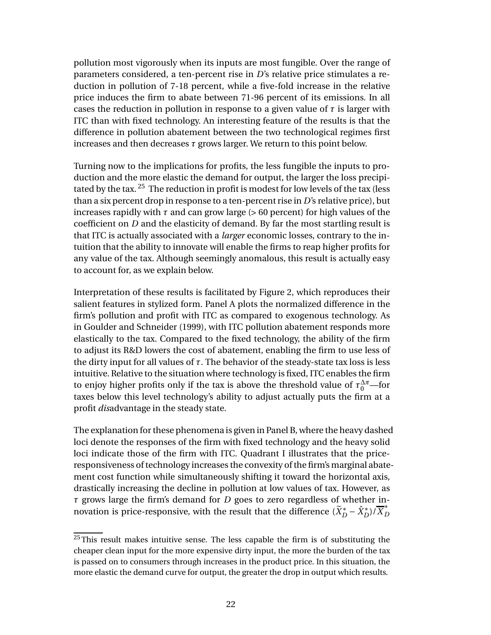pollution most vigorously when its inputs are most fungible. Over the range of parameters considered, a ten-percent rise in *D*'s relative price stimulates a reduction in pollution of 7-18 percent, while a five-fold increase in the relative price induces the firm to abate between 71-96 percent of its emissions. In all cases the reduction in pollution in response to a given value of *τ* is larger with ITC than with fixed technology. An interesting feature of the results is that the difference in pollution abatement between the two technological regimes first increases and then decreases *τ* grows larger. We return to this point below.

Turning now to the implications for profits, the less fungible the inputs to production and the more elastic the demand for output, the larger the loss precipitated by the tax. <sup>25</sup> The reduction in profit is modest for low levels of the tax (less than a six percent drop in response to a ten-percent rise in *D*'s relative price), but increases rapidly with  $\tau$  and can grow large ( $> 60$  percent) for high values of the coefficient on *D* and the elasticity of demand. By far the most startling result is that ITC is actually associated with a *larger* economic losses, contrary to the intuition that the ability to innovate will enable the firms to reap higher profits for any value of the tax. Although seemingly anomalous, this result is actually easy to account for, as we explain below.

Interpretation of these results is facilitated by Figure 2, which reproduces their salient features in stylized form. Panel A plots the normalized difference in the firm's pollution and profit with ITC as compared to exogenous technology. As in Goulder and Schneider (1999), with ITC pollution abatement responds more elastically to the tax. Compared to the fixed technology, the ability of the firm to adjust its R&D lowers the cost of abatement, enabling the firm to use less of the dirty input for all values of  $τ$ . The behavior of the steady-state tax loss is less intuitive. Relative to the situation where technology is fixed, ITC enables the firm to enjoy higher profits only if the tax is above the threshold value of  $\tau_0^{\Delta \pi}$ —for taxes below this level technology's ability to adjust actually puts the firm at a profit *dis*advantage in the steady state.

The explanation for these phenomena is given in Panel B, where the heavy dashed loci denote the responses of the firm with fixed technology and the heavy solid loci indicate those of the firm with ITC. Quadrant I illustrates that the priceresponsiveness of technology increases the convexity of the firm's marginal abatement cost function while simultaneously shifting it toward the horizontal axis, drastically increasing the decline in pollution at low values of tax. However, as *τ* grows large the firm's demand for *D* goes to zero regardless of whether innovation is price-responsive, with the result that the difference  $(\widetilde{X}^*_D - \hat{X}^*_D) / \overline{X}^*_D$ 

 $25$ This result makes intuitive sense. The less capable the firm is of substituting the cheaper clean input for the more expensive dirty input, the more the burden of the tax is passed on to consumers through increases in the product price. In this situation, the more elastic the demand curve for output, the greater the drop in output which results.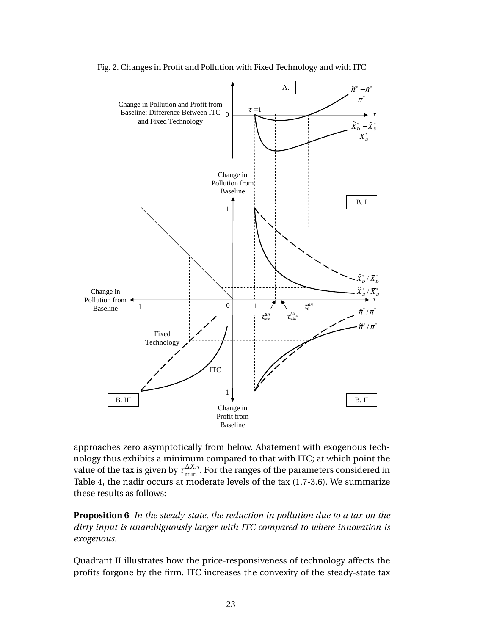

Fig. 2. Changes in Profit and Pollution with Fixed Technology and with ITC

approaches zero asymptotically from below. Abatement with exogenous technology thus exhibits a minimum compared to that with ITC; at which point the value of the tax is given by  $\tau_{\min}^{\Delta X_D}$ . For the ranges of the parameters considered in Table 4, the nadir occurs at moderate levels of the tax (1.7-3.6). We summarize these results as follows:

**Proposition 6** *In the steady-state, the reduction in pollution due to a tax on the dirty input is unambiguously larger with ITC compared to where innovation is exogenous.*

Quadrant II illustrates how the price-responsiveness of technology affects the profits forgone by the firm. ITC increases the convexity of the steady-state tax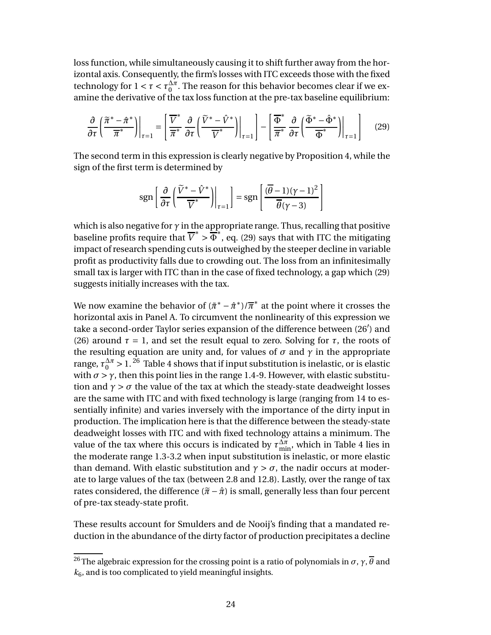loss function, while simultaneously causing it to shift further away from the horizontal axis. Consequently, the firm's losses with ITC exceeds those with the fixed technology for  $1 < \tau < \tau_0^{\Delta \pi}$  $\frac{\Delta \pi}{0}$ . The reason for this behavior becomes clear if we examine the derivative of the tax loss function at the pre-tax baseline equilibrium:

$$
\frac{\partial}{\partial \tau} \left( \frac{\widetilde{\pi}^* - \hat{\pi}^*}{\overline{\pi}^*} \right) \Big|_{\tau=1} = \left[ \frac{\overline{V}^*}{\overline{\pi}^*} \frac{\partial}{\partial \tau} \left( \frac{\widetilde{V}^* - \hat{V}^*}{\overline{V}^*} \right) \Big|_{\tau=1} \right] - \left[ \frac{\overline{\Phi}^*}{\overline{\pi}^*} \frac{\partial}{\partial \tau} \left( \frac{\widetilde{\Phi}^* - \hat{\Phi}^*}{\overline{\Phi}^*} \right) \Big|_{\tau=1} \right] \tag{29}
$$

The second term in this expression is clearly negative by Proposition 4, while the sign of the first term is determined by

$$
sgn\left[\left.\frac{\partial}{\partial\tau}\left(\frac{\widetilde{V}^* - \hat{V}^*}{\overline{V}^*}\right)\right|_{\tau=1}\right] = sgn\left[\left.\frac{(\overline{\theta} - 1)(\gamma - 1)^2}{\overline{\theta}(\gamma - 3)}\right]\right]
$$

which is also negative for  $\gamma$  in the appropriate range. Thus, recalling that positive baseline profits require that  $\overline{V}^* > \overline{\Phi}^*$ , eq. (29) says that with ITC the mitigating impact of research spending cuts is outweighed by the steeper decline in variable profit as productivity falls due to crowding out. The loss from an infinitesimally small tax is larger with ITC than in the case of fixed technology, a gap which (29) suggests initially increases with the tax.

We now examine the behavior of  $(\tilde{\pi}^* - \hat{\pi}^*)/\overline{\pi}^*$  at the point where it crosses the horizontal axis in Panel A. To circumvent the nonlinearity of this expression we take a second-order Taylor series expansion of the difference between (26′ ) and (26) around  $\tau = 1$ , and set the result equal to zero. Solving for  $\tau$ , the roots of the resulting equation are unity and, for values of  $\sigma$  and  $\gamma$  in the appropriate range,  $\tau_0^{\Delta \pi} > 1$ . <sup>26</sup> Table 4 shows that if input substitution is inelastic, or is elastic with  $\sigma > \gamma$ , then this point lies in the range 1.4-9. However, with elastic substitution and  $\gamma > \sigma$  the value of the tax at which the steady-state deadweight losses are the same with ITC and with fixed technology is large (ranging from 14 to essentially infinite) and varies inversely with the importance of the dirty input in production. The implication here is that the difference between the steady-state deadweight losses with ITC and with fixed technology attains a minimum. The value of the tax where this occurs is indicated by  $\tau_{\min}^{\Delta \pi}$ , which in Table 4 lies in the moderate range 1.3-3.2 when input substitution is inelastic, or more elastic than demand. With elastic substitution and  $\gamma > \sigma$ , the nadir occurs at moderate to large values of the tax (between 2.8 and 12.8). Lastly, over the range of tax rates considered, the difference  $(\tilde{\pi} - \hat{\pi})$  is small, generally less than four percent of pre-tax steady-state profit.

These results account for Smulders and de Nooij's finding that a mandated reduction in the abundance of the dirty factor of production precipitates a decline

<sup>&</sup>lt;sup>26</sup>The algebraic expression for the crossing point is a ratio of polynomials in  $\sigma$ ,  $\gamma$ ,  $\overline{\theta}$  and  $k<sub>6</sub>$ , and is too complicated to yield meaningful insights.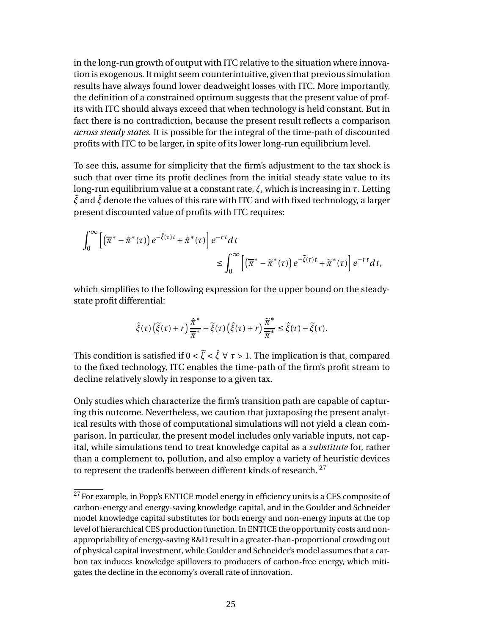in the long-run growth of output with ITC relative to the situation where innovation is exogenous. It might seem counterintuitive, given that previous simulation results have always found lower deadweight losses with ITC. More importantly, the definition of a constrained optimum suggests that the present value of profits with ITC should always exceed that when technology is held constant. But in fact there is no contradiction, because the present result reflects a comparison *across steady states*. It is possible for the integral of the time-path of discounted profits with ITC to be larger, in spite of its lower long-run equilibrium level.

To see this, assume for simplicity that the firm's adjustment to the tax shock is such that over time its profit declines from the initial steady state value to its long-run equilibrium value at a constant rate, *ξ*, which is increasing in *τ*. Letting ˜*ξ* and ˆ*ξ* denote the values of this rate with ITC and with fixed technology, a larger present discounted value of profits with ITC requires:

$$
\int_0^\infty \left[ \left( \overline{\pi}^* - \hat{\pi}^*(\tau) \right) e^{-\hat{\xi}(\tau)t} + \hat{\pi}^*(\tau) \right] e^{-rt} dt
$$
  

$$
\leq \int_0^\infty \left[ \left( \overline{\pi}^* - \tilde{\pi}^*(\tau) \right) e^{-\tilde{\xi}(\tau)t} + \tilde{\pi}^*(\tau) \right] e^{-rt} dt,
$$

which simplifies to the following expression for the upper bound on the steadystate profit differential:

$$
\hat{\xi}(\tau)\left(\tilde{\xi}(\tau)+r\right)\frac{\hat{\pi}^*}{\overline{\pi}^*}-\tilde{\xi}(\tau)\left(\hat{\xi}(\tau)+r\right)\frac{\widetilde{\pi}^*}{\overline{\pi}^*}\leq \hat{\xi}(\tau)-\widetilde{\xi}(\tau).
$$

This condition is satisfied if  $0 < \tilde{\xi} < \hat{\xi} \forall \tau > 1$ . The implication is that, compared to the fixed technology, ITC enables the time-path of the firm's profit stream to decline relatively slowly in response to a given tax.

Only studies which characterize the firm's transition path are capable of capturing this outcome. Nevertheless, we caution that juxtaposing the present analytical results with those of computational simulations will not yield a clean comparison. In particular, the present model includes only variable inputs, not capital, while simulations tend to treat knowledge capital as a *substitute* for, rather than a complement to, pollution, and also employ a variety of heuristic devices to represent the tradeoffs between different kinds of research.  $27$ 

 $27$  For example, in Popp's ENTICE model energy in efficiency units is a CES composite of carbon-energy and energy-saving knowledge capital, and in the Goulder and Schneider model knowledge capital substitutes for both energy and non-energy inputs at the top level of hierarchical CES production function. In ENTICE the opportunity costs and nonappropriability of energy-saving R&D result in a greater-than-proportional crowding out of physical capital investment, while Goulder and Schneider's model assumes that a carbon tax induces knowledge spillovers to producers of carbon-free energy, which mitigates the decline in the economy's overall rate of innovation.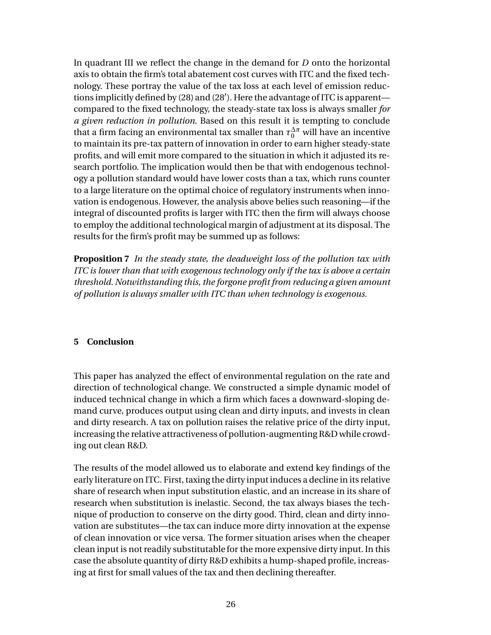In quadrant III we reflect the change in the demand for *D* onto the horizontal axis to obtain the firm's total abatement cost curves with ITC and the fixed technology. These portray the value of the tax loss at each level of emission reductions implicitly defined by (28) and (28′ ). Here the advantage of ITC is apparent compared to the fixed technology, the steady-state tax loss is always smaller *for a given reduction in pollution*. Based on this result it is tempting to conclude that a firm facing an environmental tax smaller than  $\tau_0^{\Delta \pi}$  will have an incentive to maintain its pre-tax pattern of innovation in order to earn higher steady-state profits, and will emit more compared to the situation in which it adjusted its research portfolio. The implication would then be that with endogenous technology a pollution standard would have lower costs than a tax, which runs counter to a large literature on the optimal choice of regulatory instruments when innovation is endogenous. However, the analysis above belies such reasoning—if the integral of discounted profits is larger with ITC then the firm will always choose to employ the additional technological margin of adjustment at its disposal. The results for the firm's profit may be summed up as follows:

**Proposition 7** *In the steady state, the deadweight loss of the pollution tax with ITC is lower than that with exogenous technology only if the tax is above a certain threshold. Notwithstanding this, the forgone profit from reducing a given amount of pollution is always smaller with ITC than when technology is exogenous.*

## **5 Conclusion**

This paper has analyzed the effect of environmental regulation on the rate and direction of technological change. We constructed a simple dynamic model of induced technical change in which a firm which faces a downward-sloping demand curve, produces output using clean and dirty inputs, and invests in clean and dirty research. A tax on pollution raises the relative price of the dirty input, increasing the relative attractiveness of pollution-augmenting R&D while crowding out clean R&D.

The results of the model allowed us to elaborate and extend key findings of the early literature on ITC. First, taxing the dirty input induces a decline in its relative share of research when input substitution elastic, and an increase in its share of research when substitution is inelastic. Second, the tax always biases the technique of production to conserve on the dirty good. Third, clean and dirty innovation are substitutes—the tax can induce more dirty innovation at the expense of clean innovation or vice versa. The former situation arises when the cheaper clean input is not readily substitutable for the more expensive dirty input. In this case the absolute quantity of dirty R&D exhibits a hump-shaped profile, increasing at first for small values of the tax and then declining thereafter.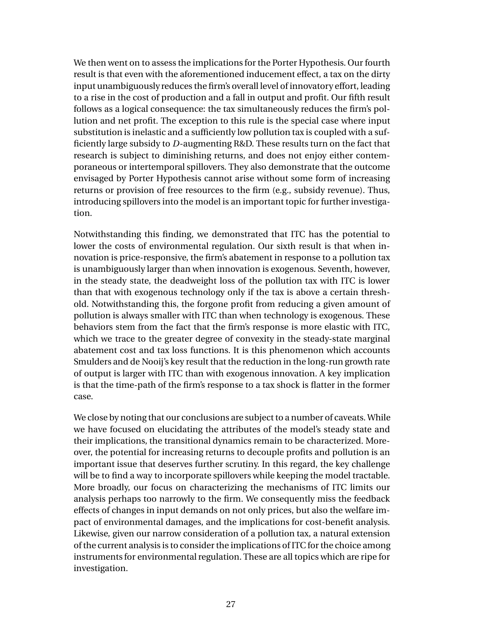We then went on to assess the implications for the Porter Hypothesis. Our fourth result is that even with the aforementioned inducement effect, a tax on the dirty input unambiguously reduces the firm's overall level of innovatory effort, leading to a rise in the cost of production and a fall in output and profit. Our fifth result follows as a logical consequence: the tax simultaneously reduces the firm's pollution and net profit. The exception to this rule is the special case where input substitution is inelastic and a sufficiently low pollution tax is coupled with a sufficiently large subsidy to *D*-augmenting R&D. These results turn on the fact that research is subject to diminishing returns, and does not enjoy either contemporaneous or intertemporal spillovers. They also demonstrate that the outcome envisaged by Porter Hypothesis cannot arise without some form of increasing returns or provision of free resources to the firm (e.g., subsidy revenue). Thus, introducing spillovers into the model is an important topic for further investigation.

Notwithstanding this finding, we demonstrated that ITC has the potential to lower the costs of environmental regulation. Our sixth result is that when innovation is price-responsive, the firm's abatement in response to a pollution tax is unambiguously larger than when innovation is exogenous. Seventh, however, in the steady state, the deadweight loss of the pollution tax with ITC is lower than that with exogenous technology only if the tax is above a certain threshold. Notwithstanding this, the forgone profit from reducing a given amount of pollution is always smaller with ITC than when technology is exogenous. These behaviors stem from the fact that the firm's response is more elastic with ITC, which we trace to the greater degree of convexity in the steady-state marginal abatement cost and tax loss functions. It is this phenomenon which accounts Smulders and de Nooij's key result that the reduction in the long-run growth rate of output is larger with ITC than with exogenous innovation. A key implication is that the time-path of the firm's response to a tax shock is flatter in the former case.

We close by noting that our conclusions are subject to a number of caveats. While we have focused on elucidating the attributes of the model's steady state and their implications, the transitional dynamics remain to be characterized. Moreover, the potential for increasing returns to decouple profits and pollution is an important issue that deserves further scrutiny. In this regard, the key challenge will be to find a way to incorporate spillovers while keeping the model tractable. More broadly, our focus on characterizing the mechanisms of ITC limits our analysis perhaps too narrowly to the firm. We consequently miss the feedback effects of changes in input demands on not only prices, but also the welfare impact of environmental damages, and the implications for cost-benefit analysis. Likewise, given our narrow consideration of a pollution tax, a natural extension of the current analysis is to consider the implications of ITC for the choice among instruments for environmental regulation. These are all topics which are ripe for investigation.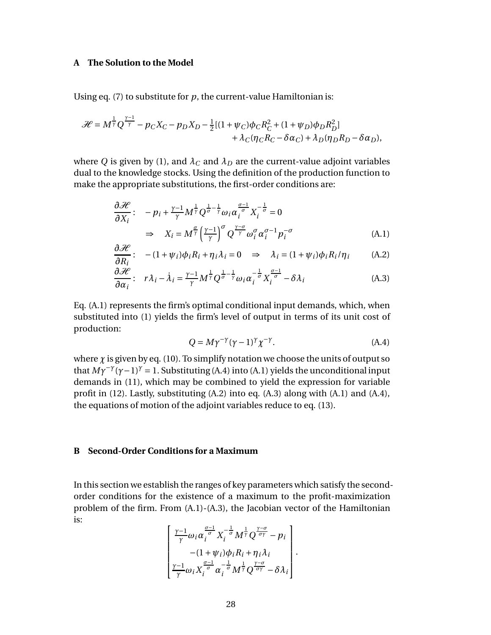#### **A The Solution to the Model**

Using eq. (7) to substitute for  $p$ , the current-value Hamiltonian is:

$$
\mathcal{H} = M^{\frac{1}{\gamma}} Q^{\frac{\gamma-1}{\gamma}} - p_C X_C - p_D X_D - \frac{1}{2} [(1 + \psi_C) \phi_C R_C^2 + (1 + \psi_D) \phi_D R_D^2] + \lambda_C (\eta_C R_C - \delta \alpha_C) + \lambda_D (\eta_D R_D - \delta \alpha_D),
$$

where *Q* is given by (1), and  $\lambda_C$  and  $\lambda_D$  are the current-value adjoint variables dual to the knowledge stocks. Using the definition of the production function to make the appropriate substitutions, the first-order conditions are:

$$
\frac{\partial \mathcal{H}}{\partial X_i}: \quad -p_i + \frac{\gamma - 1}{\gamma} M^{\frac{1}{\gamma}} Q^{\frac{1}{\sigma} - \frac{1}{\gamma}} \omega_i \alpha_i^{\frac{\sigma - 1}{\sigma}} X_i^{-\frac{1}{\sigma}} = 0
$$
\n
$$
\Rightarrow \quad X_i = M^{\frac{\sigma}{\gamma}} \left(\frac{\gamma - 1}{\gamma}\right)^{\sigma} Q^{\frac{\gamma - \sigma}{\gamma}} \omega_i^{\sigma} \alpha_i^{\sigma - 1} p_i^{-\sigma} \tag{A.1}
$$

$$
\frac{\partial \mathcal{H}}{\partial R_i}: \quad -(1+\psi_i)\phi_i R_i + \eta_i \lambda_i = 0 \quad \Rightarrow \quad \lambda_i = (1+\psi_i)\phi_i R_i/\eta_i \tag{A.2}
$$

$$
\frac{\partial \mathcal{H}}{\partial \alpha_i} : r\lambda_i - \dot{\lambda}_i = \frac{\gamma - 1}{\gamma} M^{\frac{1}{\gamma}} Q^{\frac{1}{\sigma} - \frac{1}{\gamma}} \omega_i \alpha_i^{-\frac{1}{\sigma}} X_i^{\frac{\sigma - 1}{\sigma}} - \delta \lambda_i
$$
\n(A.3)

Eq. (A.1) represents the firm's optimal conditional input demands, which, when substituted into (1) yields the firm's level of output in terms of its unit cost of production:

$$
Q = M\gamma^{-\gamma}(\gamma - 1)^{\gamma}\chi^{-\gamma}.
$$
 (A.4)

where  $\chi$  is given by eq. (10). To simplify notation we choose the units of output so that  $M\gamma^{-\gamma}(\gamma-1)^{\gamma} = 1$ . Substituting (A.4) into (A.1) yields the unconditional input demands in (11), which may be combined to yield the expression for variable profit in (12). Lastly, substituting (A.2) into eq. (A.3) along with (A.1) and (A.4), the equations of motion of the adjoint variables reduce to eq. (13).

#### **B Second-Order Conditions for a Maximum**

In this section we establish the ranges of key parameters which satisfy the secondorder conditions for the existence of a maximum to the profit-maximization problem of the firm. From (A.1)-(A.3), the Jacobian vector of the Hamiltonian is:

$$
\left[ \frac{\frac{\gamma-1}{\gamma}\omega_i\alpha_i^{\frac{\sigma-1}{\sigma}}X_i^{-\frac{1}{\sigma}}M^{\frac{1}{\gamma}}Q^{\frac{\gamma-\sigma}{\sigma\gamma}}-p_i}{-(1+\psi_i)\phi_iR_i+\eta_i\lambda_i}\right].
$$
  

$$
\frac{\gamma-1}{\gamma}\omega_iX_i^{\frac{\sigma-1}{\sigma}}\alpha_i^{-\frac{1}{\sigma}}M^{\frac{1}{\gamma}}Q^{\frac{\gamma-\sigma}{\sigma\gamma}}-\delta\lambda_i\right].
$$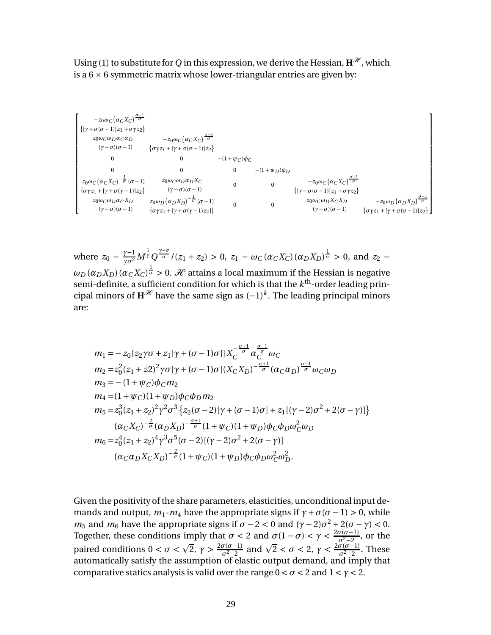Using (1) to substitute for *Q* in this expression, we derive the Hessian,  $H^{\mathcal{H}}$ , which is a  $6 \times 6$  symmetric matrix whose lower-triangular entries are given by:

$$
\begin{bmatrix} -z_0\omega_C\big(\alpha_C X_C\big)^{\frac{\sigma-1}{\sigma}} \\ \{[\gamma + \sigma(\sigma-1)|z_1 + \sigma \gamma z_2\} \\ z_0\omega_C\omega_D\alpha_C\alpha_D & -z_0\omega_C\big(\alpha_C X_C\big)^{\frac{\sigma-1}{\sigma}} \\ (\gamma - \sigma)(\sigma -1) & \{\sigma \gamma z_1 + [\gamma + \sigma(\sigma-1)|z_2\} \\ 0 & 0 & 0 & -(1+\psi_C)\phi_C \\ 0 & 0 & 0 & - (1+\psi_D)\phi_D \\ z_0\omega_C\big(\alpha_C X_C\big)^{-\frac{1}{\sigma}}(\sigma -1) & z_0\omega_C\omega_D\alpha_DX_C & 0 & -z_0\omega_C\big(\alpha_C X_C\big)^{\frac{\sigma-1}{\sigma}} \\ \{\sigma \gamma z_1 + [\gamma + \sigma(\gamma-1)|z_2\} & (\gamma - \sigma)(\sigma -1) & 0 & \{\gamma + \sigma(\sigma-1)|z_2\} \\ z_0\omega_C\omega_D\alpha_CX_D & z_0\omega_D\big(\alpha_D X_D\big)^{-\frac{1}{\sigma}}(\sigma -1) & 0 & 0 & z_0\omega_C\omega_DX_CX_D & -z_0\omega_D\big(\alpha_D X_D\big)^{\frac{\sigma-1}{\sigma}} \\ (\gamma - \sigma)(\sigma -1) & \{\sigma \gamma z_1 + [\gamma + \sigma(\gamma-1)|z_2]\} \end{bmatrix}
$$

where  $z_0 = \frac{\gamma - 1}{\gamma \sigma^2} M^{\frac{1}{\gamma}} Q^{\frac{\gamma - \sigma}{\sigma}} / (z_1 + z_2) > 0$ ,  $z_1 = \omega_C (\alpha_C X_C) (\alpha_D X_D)^{\frac{1}{\sigma}} > 0$ , and  $z_2 =$  $\omega_D(\alpha_D X_D)(\alpha_C X_C)^{\frac{1}{\sigma}}>0.$  H attains a local maximum if the Hessian is negative semi-definite, a sufficient condition for which is that the  $k^\mathrm{th}$ -order leading principal minors of  $\mathbf{H}^{\mathcal{H}}$  have the same sign as  $(-1)^k$ . The leading principal minors are:

$$
m_1 = -z_0 \{ z_2 \gamma \sigma + z_1 [\gamma + (\sigma - 1)\sigma] \} X_C^{-\frac{\sigma+1}{\sigma}} \alpha_C^{\frac{\sigma-1}{\sigma}} \omega_C
$$
  
\n
$$
m_2 = z_0^2 (z_1 + z_2)^2 \gamma \sigma [\gamma + (\sigma - 1)\sigma] (X_C X_D)^{-\frac{\sigma+1}{\sigma}} (\alpha_C \alpha_D)^{\frac{\sigma-1}{\sigma}} \omega_C \omega_D
$$
  
\n
$$
m_3 = -(1 + \psi_C) \phi_C m_2
$$
  
\n
$$
m_4 = (1 + \psi_C) (1 + \psi_D) \phi_C \phi_D m_2
$$
  
\n
$$
m_5 = z_0^3 (z_1 + z_2)^2 \gamma^2 \sigma^3 \{ z_2 (\sigma - 2) [\gamma + (\sigma - 1)\sigma] + z_1 [(\gamma - 2)\sigma^2 + 2(\sigma - \gamma)] \}
$$
  
\n
$$
(\alpha_C X_C)^{-\frac{2}{\sigma}} (\alpha_D X_D)^{-\frac{\sigma+1}{\sigma}} (1 + \psi_C) (1 + \psi_D) \phi_C \phi_D \omega_C^2 \omega_D
$$
  
\n
$$
m_6 = z_0^4 (z_1 + z_2)^4 \gamma^3 \sigma^5 (\sigma - 2) [(\gamma - 2)\sigma^2 + 2(\sigma - \gamma)]
$$
  
\n
$$
(\alpha_C \alpha_D X_C X_D)^{-\frac{2}{\sigma}} (1 + \psi_C) (1 + \psi_D) \phi_C \phi_D \omega_C^2 \omega_D^2.
$$

Given the positivity of the share parameters, elasticities, unconditional input demands and output,  $m_1 - m_4$  have the appropriate signs if  $\gamma + \sigma(\sigma - 1) > 0$ , while *m*<sub>5</sub> and *m*<sub>6</sub> have the appropriate signs if  $\sigma - 2 < 0$  and  $(\gamma - 2)\sigma^2 + 2(\sigma - \gamma) < 0$ . Together, these conditions imply that  $\sigma < 2$  and  $\sigma(1 - \sigma) < \gamma < \frac{2\sigma(\sigma-1)}{\sigma^2-2}$  $\frac{\sigma^2-2}{\sigma^2-2}$ , or the paired conditions  $0 < \sigma < \sqrt{2}$ ,  $\gamma > \frac{2\sigma(\sigma-1)}{\sigma^2-2}$  $\frac{\sigma(\sigma-1)}{\sigma^2-2}$  and  $\sqrt{2} < \sigma < 2$ ,  $\gamma < \frac{2\sigma(\sigma-1)}{\sigma^2-2}$  $\frac{\sigma^2-2}{\sigma^2-2}$ . These automatically satisfy the assumption of elastic output demand, and imply that comparative statics analysis is valid over the range  $0 < \sigma < 2$  and  $1 < \gamma < 2$ .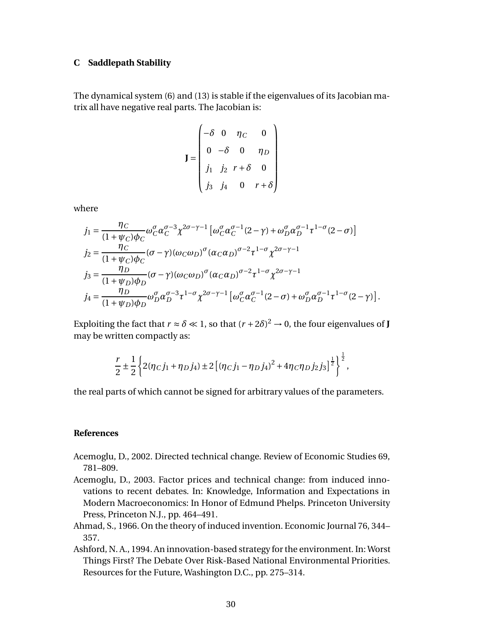#### **C Saddlepath Stability**

The dynamical system (6) and (13) is stable if the eigenvalues of its Jacobian matrix all have negative real parts. The Jacobian is:

$$
\mathbf{J} = \begin{pmatrix} -\delta & 0 & \eta_C & 0 \\ 0 & -\delta & 0 & \eta_D \\ j_1 & j_2 & r + \delta & 0 \\ j_3 & j_4 & 0 & r + \delta \end{pmatrix}
$$

where

$$
j_1 = \frac{\eta_C}{(1+\psi_C)\phi_C} \omega_C^{\sigma} \alpha_C^{\sigma-3} \chi^{2\sigma-\gamma-1} \left[ \omega_C^{\sigma} \alpha_C^{\sigma-1} (2-\gamma) + \omega_D^{\sigma} \alpha_D^{\sigma-1} \tau^{1-\sigma} (2-\sigma) \right]
$$
  
\n
$$
j_2 = \frac{\eta_C}{(1+\psi_C)\phi_C} (\sigma-\gamma) (\omega_C \omega_D)^{\sigma} (\alpha_C \alpha_D)^{\sigma-2} \tau^{1-\sigma} \chi^{2\sigma-\gamma-1}
$$
  
\n
$$
j_3 = \frac{\eta_D}{(1+\psi_D)\phi_D} (\sigma-\gamma) (\omega_C \omega_D)^{\sigma} (\alpha_C \alpha_D)^{\sigma-2} \tau^{1-\sigma} \chi^{2\sigma-\gamma-1}
$$
  
\n
$$
j_4 = \frac{\eta_D}{(1+\psi_D)\phi_D} \omega_D^{\sigma} \alpha_D^{\sigma-3} \tau^{1-\sigma} \chi^{2\sigma-\gamma-1} \left[ \omega_C^{\sigma} \alpha_C^{\sigma-1} (2-\sigma) + \omega_D^{\sigma} \alpha_D^{\sigma-1} \tau^{1-\sigma} (2-\gamma) \right].
$$

Exploiting the fact that  $r \approx \delta \ll 1$ , so that  $(r + 2\delta)^2 \rightarrow 0$ , the four eigenvalues of **J** may be written compactly as:

$$
\frac{r}{2} \pm \frac{1}{2} \left\{ 2(\eta_C j_1 + \eta_D j_4) \pm 2 \left[ (\eta_C j_1 - \eta_D j_4)^2 + 4 \eta_C \eta_D j_2 j_3 \right]^{\frac{1}{2}} \right\}^{\frac{1}{2}},
$$

the real parts of which cannot be signed for arbitrary values of the parameters.

#### **References**

- Acemoglu, D., 2002. Directed technical change. Review of Economic Studies 69, 781–809.
- Acemoglu, D., 2003. Factor prices and technical change: from induced innovations to recent debates. In: Knowledge, Information and Expectations in Modern Macroeconomics: In Honor of Edmund Phelps. Princeton University Press, Princeton N.J., pp. 464–491.
- Ahmad, S., 1966. On the theory of induced invention. Economic Journal 76, 344– 357.
- Ashford, N. A., 1994. An innovation-based strategy for the environment. In: Worst Things First? The Debate Over Risk-Based National Environmental Priorities. Resources for the Future, Washington D.C., pp. 275–314.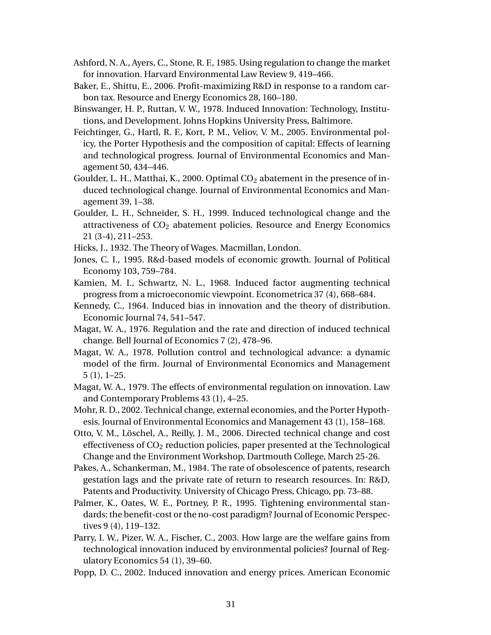- Ashford, N. A., Ayers, C., Stone, R. F., 1985. Using regulation to change the market for innovation. Harvard Environmental Law Review 9, 419–466.
- Baker, E., Shittu, E., 2006. Profit-maximizing R&D in response to a random carbon tax. Resource and Energy Economics 28, 160–180.
- Binswanger, H. P., Ruttan, V. W., 1978. Induced Innovation: Technology, Institutions, and Development. Johns Hopkins University Press, Baltimore.
- Feichtinger, G., Hartl, R. F., Kort, P. M., Veliov, V. M., 2005. Environmental policy, the Porter Hypothesis and the composition of capital: Effects of learning and technological progress. Journal of Environmental Economics and Management 50, 434–446.
- Goulder, L. H., Matthai, K., 2000. Optimal  $CO<sub>2</sub>$  abatement in the presence of induced technological change. Journal of Environmental Economics and Management 39, 1–38.
- Goulder, L. H., Schneider, S. H., 1999. Induced technological change and the attractiveness of  $CO<sub>2</sub>$  abatement policies. Resource and Energy Economics 21 (3-4), 211–253.
- Hicks, J., 1932. The Theory of Wages. Macmillan, London.
- Jones, C. I., 1995. R&d-based models of economic growth. Journal of Political Economy 103, 759–784.
- Kamien, M. I., Schwartz, N. L., 1968. Induced factor augmenting technical progress from a microeconomic viewpoint. Econometrica 37 (4), 668–684.
- Kennedy, C., 1964. Induced bias in innovation and the theory of distribution. Economic Journal 74, 541–547.
- Magat, W. A., 1976. Regulation and the rate and direction of induced technical change. Bell Journal of Economics 7 (2), 478–96.
- Magat, W. A., 1978. Pollution control and technological advance: a dynamic model of the firm. Journal of Environmental Economics and Management 5 (1), 1–25.
- Magat, W. A., 1979. The effects of environmental regulation on innovation. Law and Contemporary Problems 43 (1), 4–25.
- Mohr, R. D., 2002. Technical change, external economies, and the Porter Hypothesis. Journal of Environmental Economics and Management 43 (1), 158–168.
- Otto, V. M., Löschel, A., Reilly, J. M., 2006. Directed technical change and cost effectiveness of  $CO<sub>2</sub>$  reduction policies, paper presented at the Technological Change and the Environment Workshop, Dartmouth College, March 25-26.
- Pakes, A., Schankerman, M., 1984. The rate of obsolescence of patents, research gestation lags and the private rate of return to research resources. In: R&D, Patents and Productivity. University of Chicago Press, Chicago, pp. 73–88.
- Palmer, K., Oates, W. E., Portney, P. R., 1995. Tightening environmental standards: the benefit-cost or the no-cost paradigm? Journal of Economic Perspectives 9 (4), 119–132.
- Parry, I. W., Pizer, W. A., Fischer, C., 2003. How large are the welfare gains from technological innovation induced by environmental policies? Journal of Regulatory Economics 54 (1), 39–60.
- Popp, D. C., 2002. Induced innovation and energy prices. American Economic